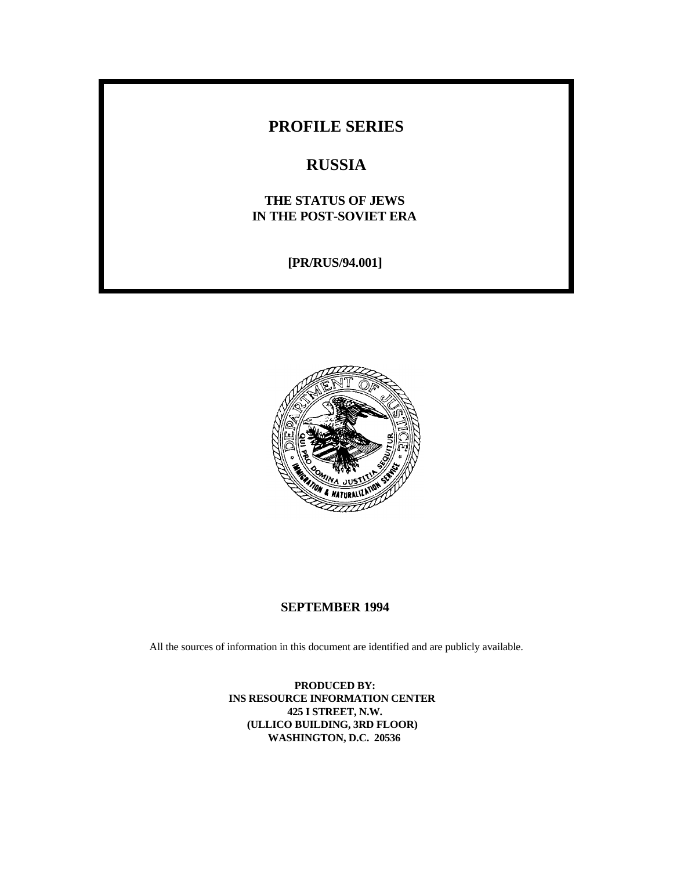# **PROFILE SERIES**

# **RUSSIA**

# **THE STATUS OF JEWS IN THE POST-SOVIET ERA**

**[PR/RUS/94.001]**



## **SEPTEMBER 1994**

All the sources of information in this document are identified and are publicly available.

**PRODUCED BY: INS RESOURCE INFORMATION CENTER 425 I STREET, N.W. (ULLICO BUILDING, 3RD FLOOR) WASHINGTON, D.C. 20536**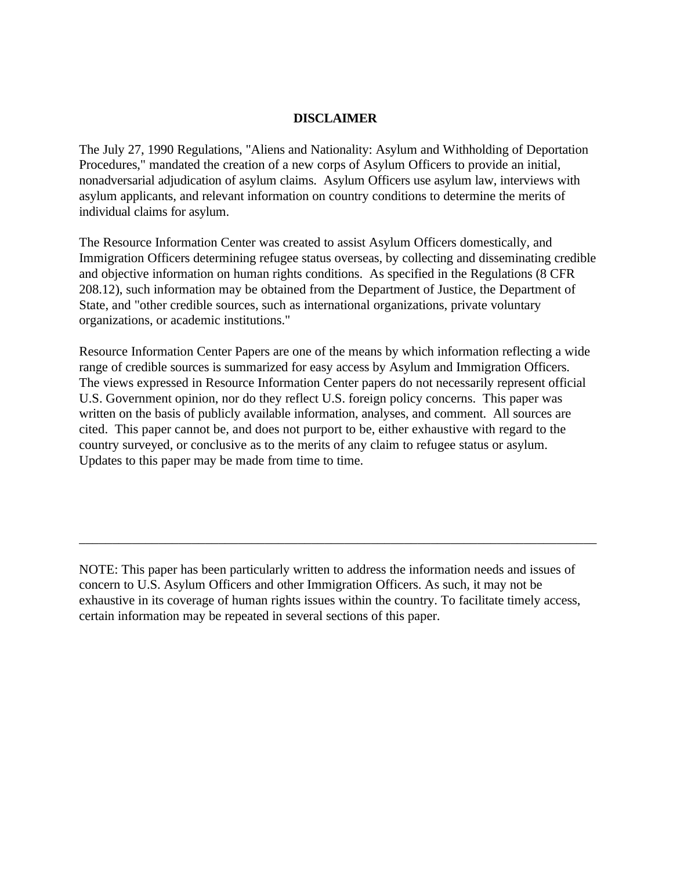## **DISCLAIMER**

The July 27, 1990 Regulations, "Aliens and Nationality: Asylum and Withholding of Deportation Procedures," mandated the creation of a new corps of Asylum Officers to provide an initial, nonadversarial adjudication of asylum claims. Asylum Officers use asylum law, interviews with asylum applicants, and relevant information on country conditions to determine the merits of individual claims for asylum.

The Resource Information Center was created to assist Asylum Officers domestically, and Immigration Officers determining refugee status overseas, by collecting and disseminating credible and objective information on human rights conditions. As specified in the Regulations (8 CFR 208.12), such information may be obtained from the Department of Justice, the Department of State, and "other credible sources, such as international organizations, private voluntary organizations, or academic institutions."

Resource Information Center Papers are one of the means by which information reflecting a wide range of credible sources is summarized for easy access by Asylum and Immigration Officers. The views expressed in Resource Information Center papers do not necessarily represent official U.S. Government opinion, nor do they reflect U.S. foreign policy concerns. This paper was written on the basis of publicly available information, analyses, and comment. All sources are cited. This paper cannot be, and does not purport to be, either exhaustive with regard to the country surveyed, or conclusive as to the merits of any claim to refugee status or asylum. Updates to this paper may be made from time to time.

NOTE: This paper has been particularly written to address the information needs and issues of concern to U.S. Asylum Officers and other Immigration Officers. As such, it may not be exhaustive in its coverage of human rights issues within the country. To facilitate timely access, certain information may be repeated in several sections of this paper.

\_\_\_\_\_\_\_\_\_\_\_\_\_\_\_\_\_\_\_\_\_\_\_\_\_\_\_\_\_\_\_\_\_\_\_\_\_\_\_\_\_\_\_\_\_\_\_\_\_\_\_\_\_\_\_\_\_\_\_\_\_\_\_\_\_\_\_\_\_\_\_\_\_\_\_\_\_\_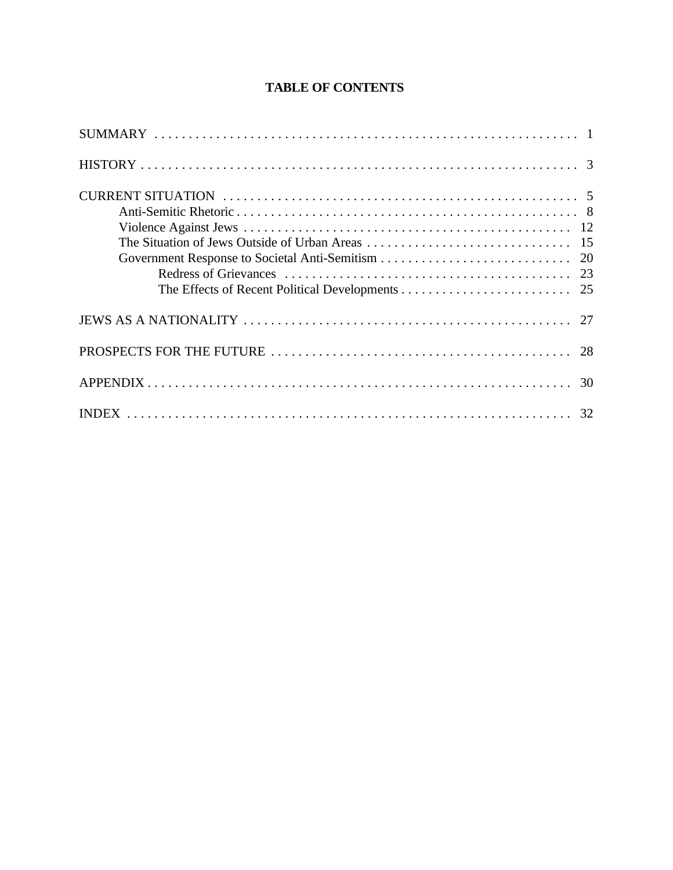# **TABLE OF CONTENTS**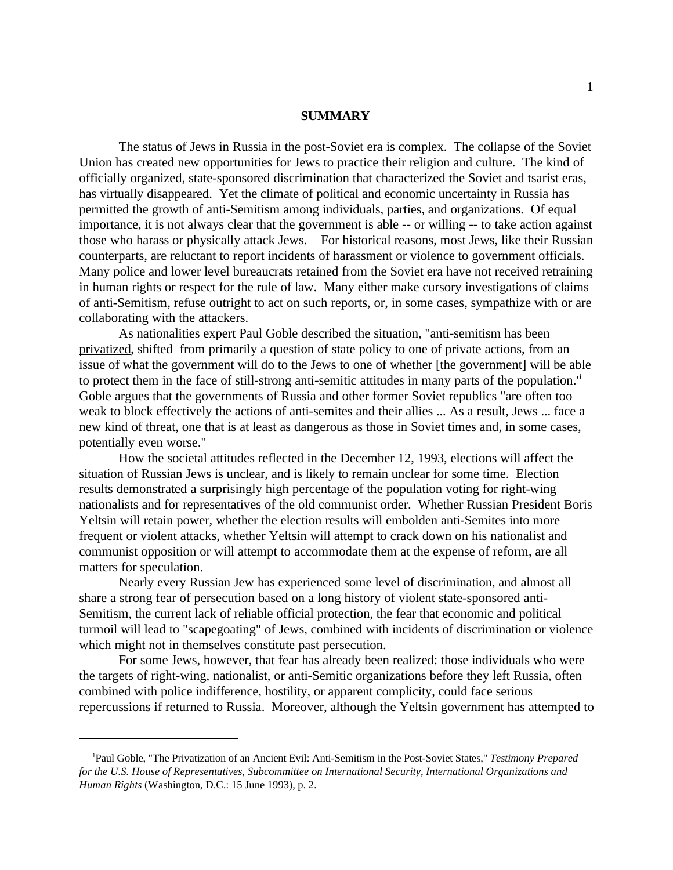#### **SUMMARY**

The status of Jews in Russia in the post-Soviet era is complex. The collapse of the Soviet Union has created new opportunities for Jews to practice their religion and culture. The kind of officially organized, state-sponsored discrimination that characterized the Soviet and tsarist eras, has virtually disappeared. Yet the climate of political and economic uncertainty in Russia has permitted the growth of anti-Semitism among individuals, parties, and organizations. Of equal importance, it is not always clear that the government is able -- or willing -- to take action against those who harass or physically attack Jews. For historical reasons, most Jews, like their Russian counterparts, are reluctant to report incidents of harassment or violence to government officials. Many police and lower level bureaucrats retained from the Soviet era have not received retraining in human rights or respect for the rule of law. Many either make cursory investigations of claims of anti-Semitism, refuse outright to act on such reports, or, in some cases, sympathize with or are collaborating with the attackers.

As nationalities expert Paul Goble described the situation, "anti-semitism has been privatized, shifted from primarily a question of state policy to one of private actions, from an issue of what the government will do to the Jews to one of whether [the government] will be able to protect them in the face of still-strong anti-semitic attitudes in many parts of the population.<sup>"</sup> Goble argues that the governments of Russia and other former Soviet republics "are often too weak to block effectively the actions of anti-semites and their allies ... As a result, Jews ... face a new kind of threat, one that is at least as dangerous as those in Soviet times and, in some cases, potentially even worse."

How the societal attitudes reflected in the December 12, 1993, elections will affect the situation of Russian Jews is unclear, and is likely to remain unclear for some time. Election results demonstrated a surprisingly high percentage of the population voting for right-wing nationalists and for representatives of the old communist order. Whether Russian President Boris Yeltsin will retain power, whether the election results will embolden anti-Semites into more frequent or violent attacks, whether Yeltsin will attempt to crack down on his nationalist and communist opposition or will attempt to accommodate them at the expense of reform, are all matters for speculation.

Nearly every Russian Jew has experienced some level of discrimination, and almost all share a strong fear of persecution based on a long history of violent state-sponsored anti-Semitism, the current lack of reliable official protection, the fear that economic and political turmoil will lead to "scapegoating" of Jews, combined with incidents of discrimination or violence which might not in themselves constitute past persecution.

For some Jews, however, that fear has already been realized: those individuals who were the targets of right-wing, nationalist, or anti-Semitic organizations before they left Russia, often combined with police indifference, hostility, or apparent complicity, could face serious repercussions if returned to Russia. Moreover, although the Yeltsin government has attempted to

<sup>&</sup>lt;sup>1</sup>Paul Goble, "The Privatization of an Ancient Evil: Anti-Semitism in the Post-Soviet States," *Testimony Prepared for the U.S. House of Representatives, Subcommittee on International Security, International Organizations and Human Rights* (Washington, D.C.: 15 June 1993), p. 2.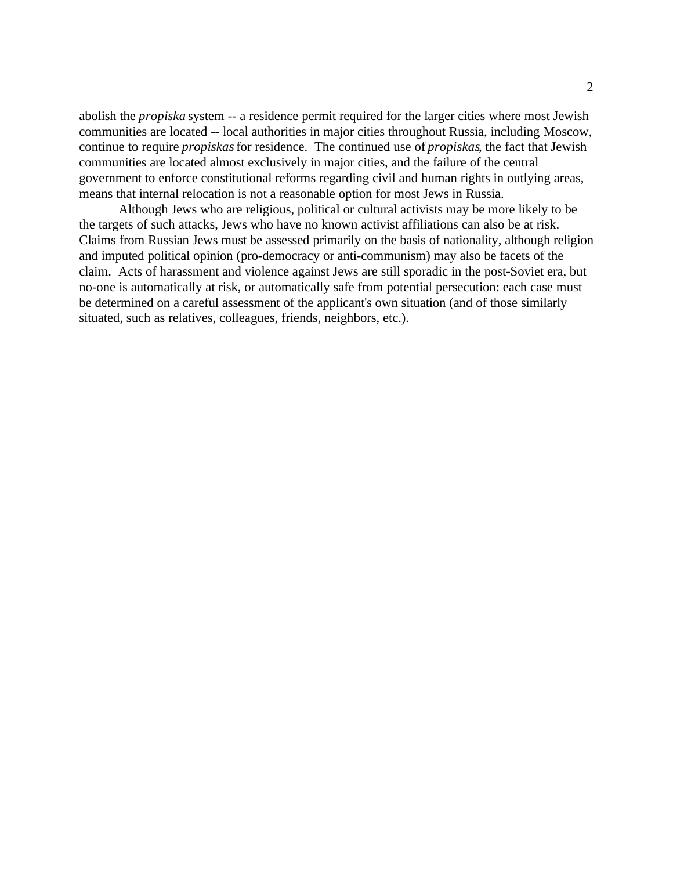abolish the *propiska* system -- a residence permit required for the larger cities where most Jewish communities are located -- local authorities in major cities throughout Russia, including Moscow, continue to require *propiskas* for residence. The continued use of *propiskas*, the fact that Jewish communities are located almost exclusively in major cities, and the failure of the central government to enforce constitutional reforms regarding civil and human rights in outlying areas, means that internal relocation is not a reasonable option for most Jews in Russia.

Although Jews who are religious, political or cultural activists may be more likely to be the targets of such attacks, Jews who have no known activist affiliations can also be at risk. Claims from Russian Jews must be assessed primarily on the basis of nationality, although religion and imputed political opinion (pro-democracy or anti-communism) may also be facets of the claim. Acts of harassment and violence against Jews are still sporadic in the post-Soviet era, but no-one is automatically at risk, or automatically safe from potential persecution: each case must be determined on a careful assessment of the applicant's own situation (and of those similarly situated, such as relatives, colleagues, friends, neighbors, etc.).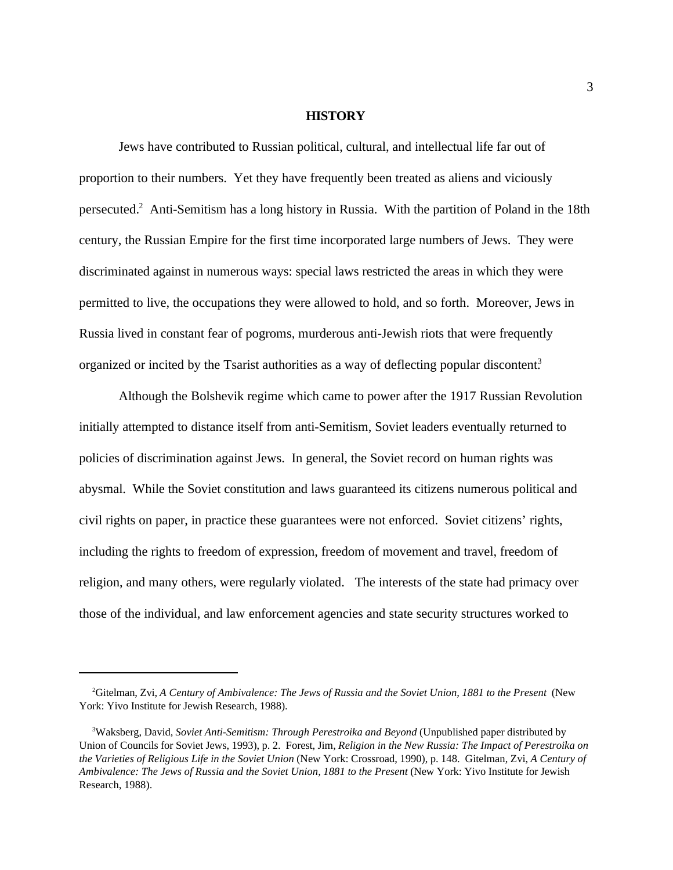#### **HISTORY**

Jews have contributed to Russian political, cultural, and intellectual life far out of proportion to their numbers. Yet they have frequently been treated as aliens and viciously persecuted.<sup>2</sup> Anti-Semitism has a long history in Russia. With the partition of Poland in the 18th century, the Russian Empire for the first time incorporated large numbers of Jews. They were discriminated against in numerous ways: special laws restricted the areas in which they were permitted to live, the occupations they were allowed to hold, and so forth. Moreover, Jews in Russia lived in constant fear of pogroms, murderous anti-Jewish riots that were frequently organized or incited by the Tsarist authorities as a way of deflecting popular discontent.<sup>3</sup>

Although the Bolshevik regime which came to power after the 1917 Russian Revolution initially attempted to distance itself from anti-Semitism, Soviet leaders eventually returned to policies of discrimination against Jews. In general, the Soviet record on human rights was abysmal. While the Soviet constitution and laws guaranteed its citizens numerous political and civil rights on paper, in practice these guarantees were not enforced. Soviet citizens' rights, including the rights to freedom of expression, freedom of movement and travel, freedom of religion, and many others, were regularly violated. The interests of the state had primacy over those of the individual, and law enforcement agencies and state security structures worked to

<sup>&</sup>lt;sup>2</sup>Gitelman, Zvi, *A Century of Ambivalence: The Jews of Russia and the Soviet Union, 1881 to the Present* (New York: Yivo Institute for Jewish Research, 1988).

<sup>&</sup>lt;sup>3</sup>Waksberg, David, *Soviet Anti-Semitism: Through Perestroika and Beyond* (Unpublished paper distributed by Union of Councils for Soviet Jews, 1993), p. 2. Forest, Jim, *Religion in the New Russia: The Impact of Perestroika on the Varieties of Religious Life in the Soviet Union* (New York: Crossroad, 1990), p. 148. Gitelman, Zvi, *A Century of Ambivalence: The Jews of Russia and the Soviet Union, 1881 to the Present* (New York: Yivo Institute for Jewish Research, 1988).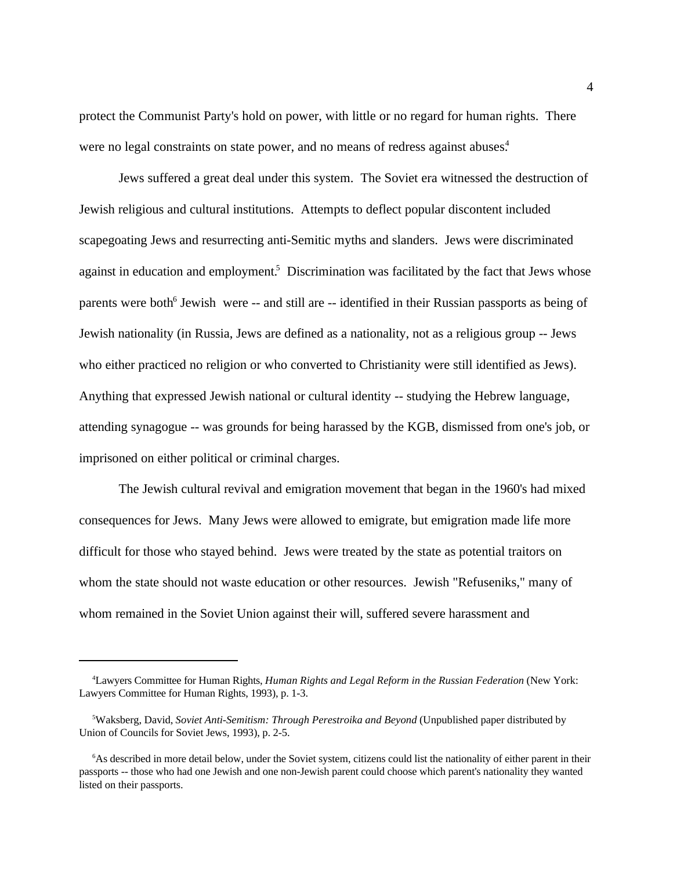protect the Communist Party's hold on power, with little or no regard for human rights. There were no legal constraints on state power, and no means of redress against abuses.<sup>4</sup>

Jews suffered a great deal under this system. The Soviet era witnessed the destruction of Jewish religious and cultural institutions. Attempts to deflect popular discontent included scapegoating Jews and resurrecting anti-Semitic myths and slanders. Jews were discriminated against in education and employment.<sup>5</sup> Discrimination was facilitated by the fact that Jews whose parents were both<sup>6</sup> Jewish were -- and still are -- identified in their Russian passports as being of Jewish nationality (in Russia, Jews are defined as a nationality, not as a religious group -- Jews who either practiced no religion or who converted to Christianity were still identified as Jews). Anything that expressed Jewish national or cultural identity -- studying the Hebrew language, attending synagogue -- was grounds for being harassed by the KGB, dismissed from one's job, or imprisoned on either political or criminal charges.

The Jewish cultural revival and emigration movement that began in the 1960's had mixed consequences for Jews. Many Jews were allowed to emigrate, but emigration made life more difficult for those who stayed behind. Jews were treated by the state as potential traitors on whom the state should not waste education or other resources. Jewish "Refuseniks," many of whom remained in the Soviet Union against their will, suffered severe harassment and

Lawyers Committee for Human Rights, *Human Rights and Legal Reform in the Russian Federation* (New York: <sup>4</sup> Lawyers Committee for Human Rights, 1993), p. 1-3.

Waksberg, David, *Soviet Anti-Semitism: Through Perestroika and Beyond* (Unpublished paper distributed by <sup>5</sup> Union of Councils for Soviet Jews, 1993), p. 2-5.

<sup>&</sup>lt;sup>6</sup>As described in more detail below, under the Soviet system, citizens could list the nationality of either parent in their passports -- those who had one Jewish and one non-Jewish parent could choose which parent's nationality they wanted listed on their passports.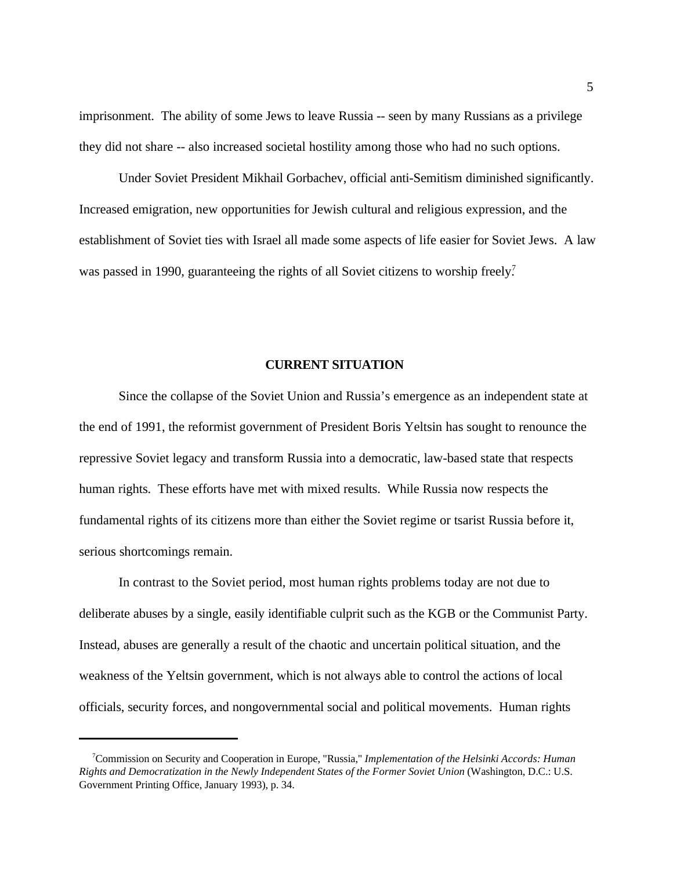imprisonment. The ability of some Jews to leave Russia -- seen by many Russians as a privilege they did not share -- also increased societal hostility among those who had no such options.

Under Soviet President Mikhail Gorbachev, official anti-Semitism diminished significantly. Increased emigration, new opportunities for Jewish cultural and religious expression, and the establishment of Soviet ties with Israel all made some aspects of life easier for Soviet Jews. A law was passed in 1990, guaranteeing the rights of all Soviet citizens to worship freely.<sup>7</sup>

#### **CURRENT SITUATION**

Since the collapse of the Soviet Union and Russia's emergence as an independent state at the end of 1991, the reformist government of President Boris Yeltsin has sought to renounce the repressive Soviet legacy and transform Russia into a democratic, law-based state that respects human rights. These efforts have met with mixed results. While Russia now respects the fundamental rights of its citizens more than either the Soviet regime or tsarist Russia before it, serious shortcomings remain.

In contrast to the Soviet period, most human rights problems today are not due to deliberate abuses by a single, easily identifiable culprit such as the KGB or the Communist Party. Instead, abuses are generally a result of the chaotic and uncertain political situation, and the weakness of the Yeltsin government, which is not always able to control the actions of local officials, security forces, and nongovernmental social and political movements. Human rights

<sup>&</sup>lt;sup>7</sup> Commission on Security and Cooperation in Europe, "Russia," *Implementation of the Helsinki Accords: Human Rights and Democratization in the Newly Independent States of the Former Soviet Union* (Washington, D.C.: U.S. Government Printing Office, January 1993), p. 34.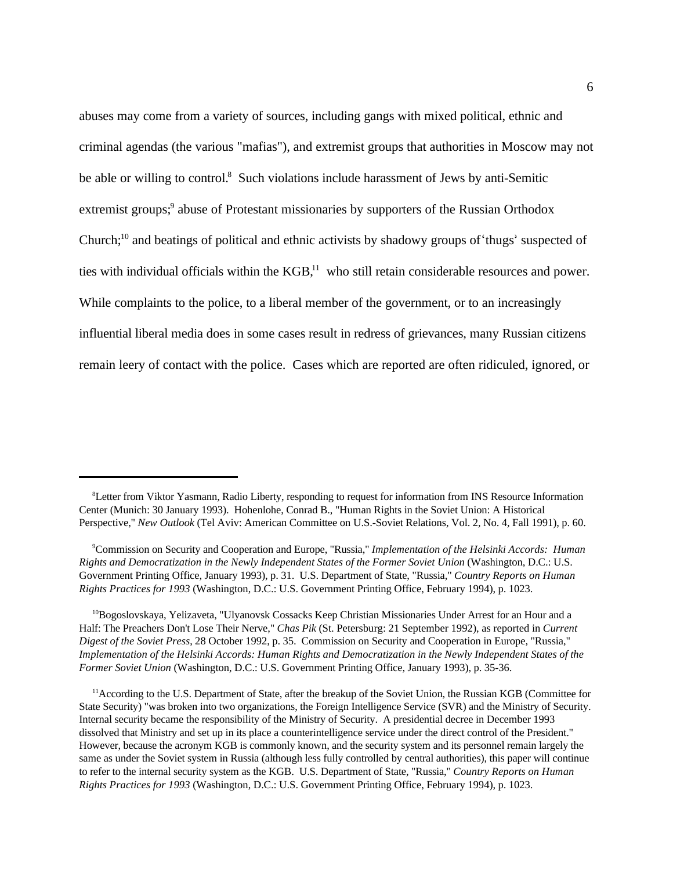abuses may come from a variety of sources, including gangs with mixed political, ethnic and criminal agendas (the various "mafias"), and extremist groups that authorities in Moscow may not be able or willing to control.<sup>8</sup> Such violations include harassment of Jews by anti-Semitic extremist groups;<sup>9</sup> abuse of Protestant missionaries by supporters of the Russian Orthodox Church; $^{10}$  and beatings of political and ethnic activists by shadowy groups of thugs' suspected of ties with individual officials within the  $KGB<sup>11</sup>$ , who still retain considerable resources and power. While complaints to the police, to a liberal member of the government, or to an increasingly influential liberal media does in some cases result in redress of grievances, many Russian citizens remain leery of contact with the police. Cases which are reported are often ridiculed, ignored, or

 ${}^{10}$ Bogoslovskaya, Yelizaveta, "Ulyanovsk Cossacks Keep Christian Missionaries Under Arrest for an Hour and a Half: The Preachers Don't Lose Their Nerve," *Chas Pik* (St. Petersburg: 21 September 1992), as reported in *Current Digest of the Soviet Press*, 28 October 1992, p. 35. Commission on Security and Cooperation in Europe, "Russia," *Implementation of the Helsinki Accords: Human Rights and Democratization in the Newly Independent States of the Former Soviet Union* (Washington, D.C.: U.S. Government Printing Office, January 1993), p. 35-36.

 $11$  According to the U.S. Department of State, after the breakup of the Soviet Union, the Russian KGB (Committee for State Security) "was broken into two organizations, the Foreign Intelligence Service (SVR) and the Ministry of Security. Internal security became the responsibility of the Ministry of Security. A presidential decree in December 1993 dissolved that Ministry and set up in its place a counterintelligence service under the direct control of the President." However, because the acronym KGB is commonly known, and the security system and its personnel remain largely the same as under the Soviet system in Russia (although less fully controlled by central authorities), this paper will continue to refer to the internal security system as the KGB. U.S. Department of State, "Russia," *Country Reports on Human Rights Practices for 1993* (Washington, D.C.: U.S. Government Printing Office, February 1994), p. 1023.

<sup>&</sup>lt;sup>8</sup>Letter from Viktor Yasmann, Radio Liberty, responding to request for information from INS Resource Information Center (Munich: 30 January 1993). Hohenlohe, Conrad B., "Human Rights in the Soviet Union: A Historical Perspective," *New Outlook* (Tel Aviv: American Committee on U.S.-Soviet Relations, Vol. 2, No. 4, Fall 1991), p. 60.

<sup>&</sup>lt;sup>9</sup> Commission on Security and Cooperation and Europe, "Russia," *Implementation of the Helsinki Accords: Human Rights and Democratization in the Newly Independent States of the Former Soviet Union* (Washington, D.C.: U.S. Government Printing Office, January 1993), p. 31. U.S. Department of State, "Russia," *Country Reports on Human Rights Practices for 1993* (Washington, D.C.: U.S. Government Printing Office, February 1994), p. 1023.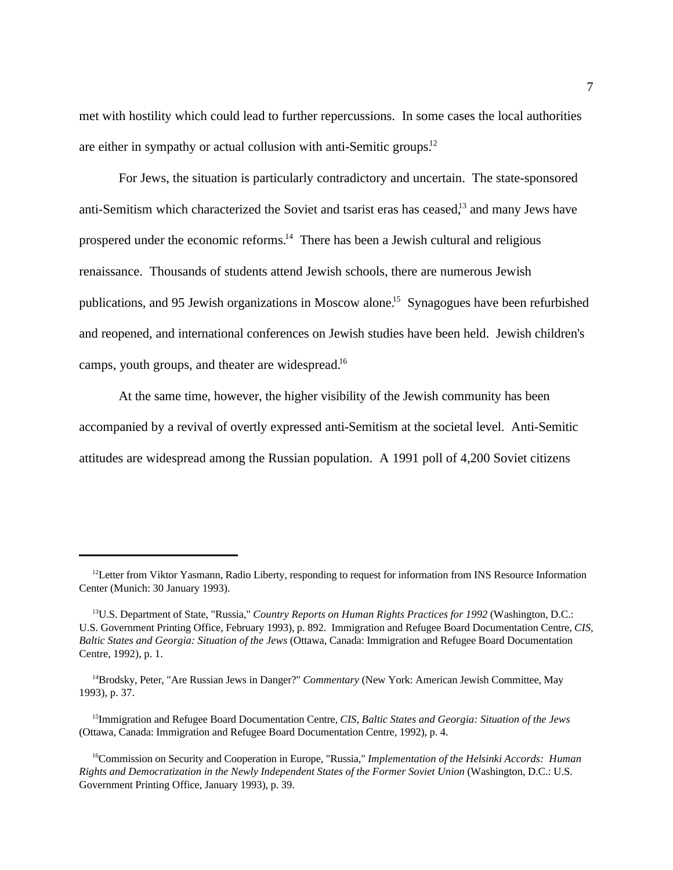met with hostility which could lead to further repercussions. In some cases the local authorities are either in sympathy or actual collusion with anti-Semitic groups.<sup>12</sup>

For Jews, the situation is particularly contradictory and uncertain. The state-sponsored anti-Semitism which characterized the Soviet and tsarist eras has ceased,<sup>13</sup> and many Jews have prospered under the economic reforms. $14$  There has been a Jewish cultural and religious renaissance. Thousands of students attend Jewish schools, there are numerous Jewish publications, and 95 Jewish organizations in Moscow alone.<sup>15</sup> Synagogues have been refurbished and reopened, and international conferences on Jewish studies have been held. Jewish children's camps, youth groups, and theater are widespread.<sup>16</sup>

At the same time, however, the higher visibility of the Jewish community has been accompanied by a revival of overtly expressed anti-Semitism at the societal level. Anti-Semitic attitudes are widespread among the Russian population. A 1991 poll of 4,200 Soviet citizens

 $12$ Letter from Viktor Yasmann, Radio Liberty, responding to request for information from INS Resource Information Center (Munich: 30 January 1993).

<sup>&</sup>lt;sup>13</sup>U.S. Department of State, "Russia," *Country Reports on Human Rights Practices for 1992* (Washington, D.C.: U.S. Government Printing Office, February 1993), p. 892. Immigration and Refugee Board Documentation Centre, *CIS, Baltic States and Georgia: Situation of the Jews* (Ottawa, Canada: Immigration and Refugee Board Documentation Centre, 1992), p. 1.

<sup>&</sup>lt;sup>14</sup>Brodsky, Peter, "Are Russian Jews in Danger?" *Commentary* (New York: American Jewish Committee, May 1993), p. 37.

Immigration and Refugee Board Documentation Centre, *CIS, Baltic States and Georgia: Situation of the Jews* <sup>15</sup> (Ottawa, Canada: Immigration and Refugee Board Documentation Centre, 1992), p. 4.

<sup>&</sup>lt;sup>16</sup>Commission on Security and Cooperation in Europe, "Russia," *Implementation of the Helsinki Accords: Human Rights and Democratization in the Newly Independent States of the Former Soviet Union* (Washington, D.C.: U.S. Government Printing Office, January 1993), p. 39.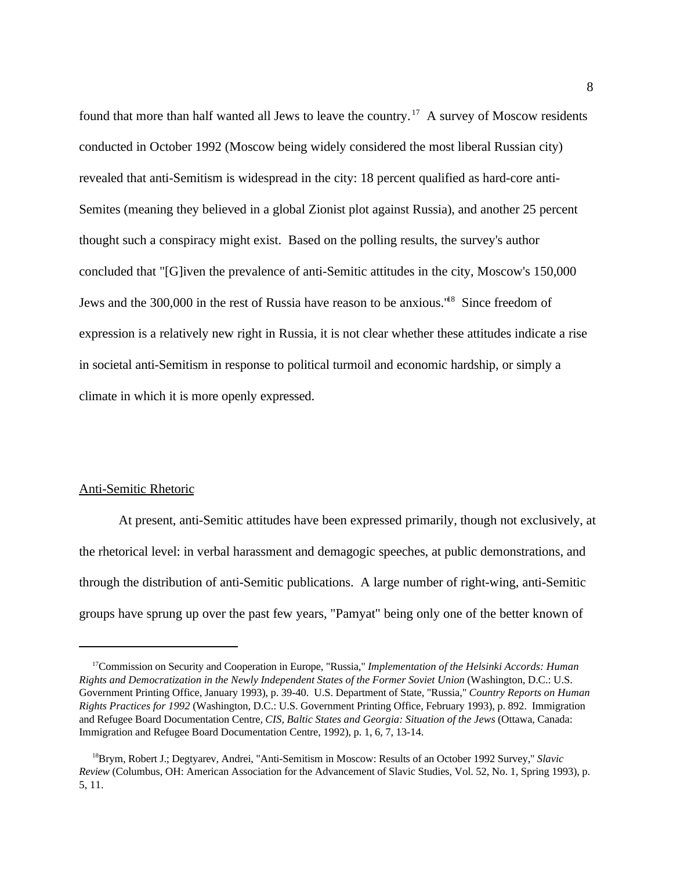found that more than half wanted all Jews to leave the country.<sup>17</sup> A survey of Moscow residents conducted in October 1992 (Moscow being widely considered the most liberal Russian city) revealed that anti-Semitism is widespread in the city: 18 percent qualified as hard-core anti-Semites (meaning they believed in a global Zionist plot against Russia), and another 25 percent thought such a conspiracy might exist. Based on the polling results, the survey's author concluded that "[G]iven the prevalence of anti-Semitic attitudes in the city, Moscow's 150,000 Jews and the 300,000 in the rest of Russia have reason to be anxious.<sup>"8</sup> Since freedom of expression is a relatively new right in Russia, it is not clear whether these attitudes indicate a rise in societal anti-Semitism in response to political turmoil and economic hardship, or simply a climate in which it is more openly expressed.

## Anti-Semitic Rhetoric

At present, anti-Semitic attitudes have been expressed primarily, though not exclusively, at the rhetorical level: in verbal harassment and demagogic speeches, at public demonstrations, and through the distribution of anti-Semitic publications. A large number of right-wing, anti-Semitic groups have sprung up over the past few years, "Pamyat" being only one of the better known of

<sup>&</sup>lt;sup>17</sup> Commission on Security and Cooperation in Europe, "Russia," *Implementation of the Helsinki Accords: Human Rights and Democratization in the Newly Independent States of the Former Soviet Union* (Washington, D.C.: U.S. Government Printing Office, January 1993), p. 39-40. U.S. Department of State, "Russia," *Country Reports on Human Rights Practices for 1992* (Washington, D.C.: U.S. Government Printing Office, February 1993), p. 892. Immigration and Refugee Board Documentation Centre, *CIS, Baltic States and Georgia: Situation of the Jews* (Ottawa, Canada: Immigration and Refugee Board Documentation Centre, 1992), p. 1, 6, 7, 13-14.

<sup>&</sup>lt;sup>18</sup>Brym, Robert J.; Degtyarev, Andrei, "Anti-Semitism in Moscow: Results of an October 1992 Survey," *Slavic Review* (Columbus, OH: American Association for the Advancement of Slavic Studies, Vol. 52, No. 1, Spring 1993), p. 5, 11.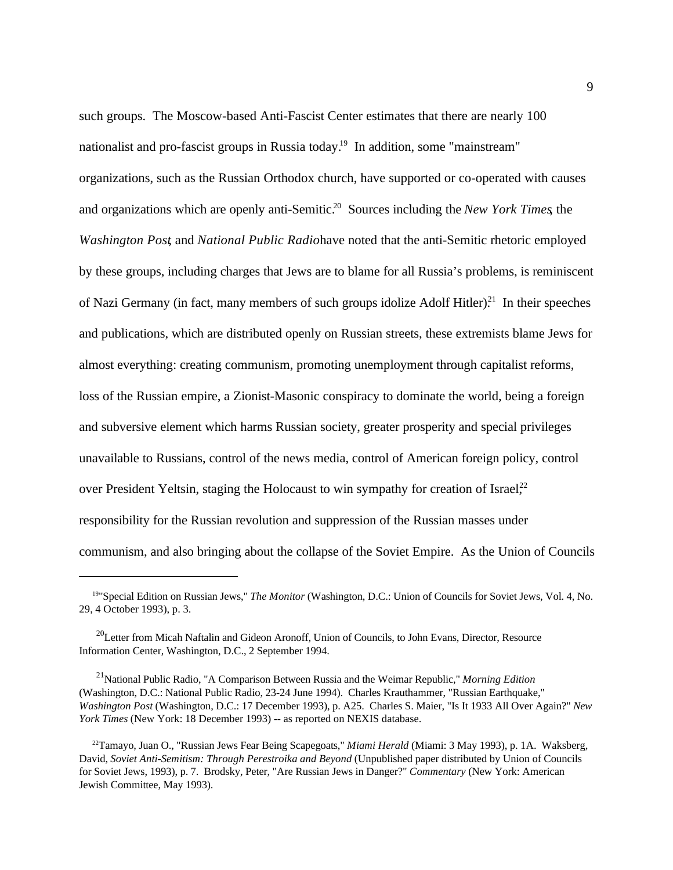such groups. The Moscow-based Anti-Fascist Center estimates that there are nearly 100 nationalist and pro-fascist groups in Russia today.<sup>19</sup> In addition, some "mainstream" organizations, such as the Russian Orthodox church, have supported or co-operated with causes and organizations which are openly anti-Semitic.<sup>20</sup> Sources including the *New York Times*, the *Washington Post*, and *National Public Radiohave noted that the anti-Semitic rhetoric employed* by these groups, including charges that Jews are to blame for all Russia's problems, is reminiscent of Nazi Germany (in fact, many members of such groups idolize Adolf Hitler).<sup>21</sup> In their speeches and publications, which are distributed openly on Russian streets, these extremists blame Jews for almost everything: creating communism, promoting unemployment through capitalist reforms, loss of the Russian empire, a Zionist-Masonic conspiracy to dominate the world, being a foreign and subversive element which harms Russian society, greater prosperity and special privileges unavailable to Russians, control of the news media, control of American foreign policy, control over President Yeltsin, staging the Holocaust to win sympathy for creation of Israel,<sup>22</sup> responsibility for the Russian revolution and suppression of the Russian masses under communism, and also bringing about the collapse of the Soviet Empire. As the Union of Councils

<sup>&</sup>lt;sup>19</sup>"Special Edition on Russian Jews," *The Monitor* (Washington, D.C.: Union of Councils for Soviet Jews, Vol. 4, No. 29, 4 October 1993), p. 3.

 $^{20}$ Letter from Micah Naftalin and Gideon Aronoff, Union of Councils, to John Evans, Director, Resource Information Center, Washington, D.C., 2 September 1994.

<sup>&</sup>lt;sup>21</sup> National Public Radio, "A Comparison Between Russia and the Weimar Republic," Morning Edition (Washington, D.C.: National Public Radio, 23-24 June 1994). Charles Krauthammer, "Russian Earthquake," *Washington Post* (Washington, D.C.: 17 December 1993), p. A25. Charles S. Maier, "Is It 1933 All Over Again?" *New York Times* (New York: 18 December 1993) -- as reported on NEXIS database.

<sup>&</sup>lt;sup>22</sup>Tamayo, Juan O., "Russian Jews Fear Being Scapegoats," *Miami Herald* (Miami: 3 May 1993), p. 1A. Waksberg, David, *Soviet Anti-Semitism: Through Perestroika and Beyond* (Unpublished paper distributed by Union of Councils for Soviet Jews, 1993), p. 7. Brodsky, Peter, "Are Russian Jews in Danger?" *Commentary* (New York: American Jewish Committee, May 1993).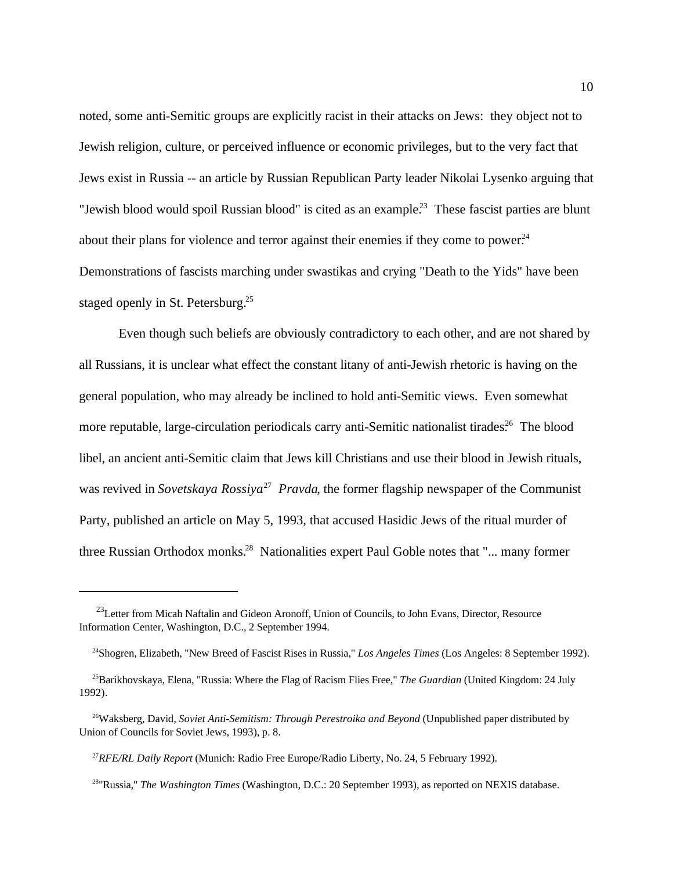noted, some anti-Semitic groups are explicitly racist in their attacks on Jews: they object not to Jewish religion, culture, or perceived influence or economic privileges, but to the very fact that Jews exist in Russia -- an article by Russian Republican Party leader Nikolai Lysenko arguing that "Jewish blood would spoil Russian blood" is cited as an example.<sup>23</sup> These fascist parties are blunt about their plans for violence and terror against their enemies if they come to power.<sup>24</sup> Demonstrations of fascists marching under swastikas and crying "Death to the Yids" have been staged openly in St. Petersburg.<sup>25</sup>

Even though such beliefs are obviously contradictory to each other, and are not shared by all Russians, it is unclear what effect the constant litany of anti-Jewish rhetoric is having on the general population, who may already be inclined to hold anti-Semitic views. Even somewhat more reputable, large-circulation periodicals carry anti-Semitic nationalist tirades.<sup>26</sup> The blood libel, an ancient anti-Semitic claim that Jews kill Christians and use their blood in Jewish rituals, was revived in *Sovetskaya Rossiya*<sup>27</sup> Pravda, the former flagship newspaper of the Communist Party, published an article on May 5, 1993, that accused Hasidic Jews of the ritual murder of three Russian Orthodox monks.<sup>28</sup> Nationalities expert Paul Goble notes that "... many former

 $^{23}$ Letter from Micah Naftalin and Gideon Aronoff, Union of Councils, to John Evans, Director, Resource Information Center, Washington, D.C., 2 September 1994.

<sup>&</sup>lt;sup>24</sup>Shogren, Elizabeth, "New Breed of Fascist Rises in Russia," *Los Angeles Times* (Los Angeles: 8 September 1992).

<sup>&</sup>lt;sup>25</sup>Barikhovskaya, Elena, "Russia: Where the Flag of Racism Flies Free," *The Guardian* (United Kingdom: 24 July 1992).

<sup>&</sup>lt;sup>26</sup>Waksberg, David, *Soviet Anti-Semitism: Through Perestroika and Beyond* (Unpublished paper distributed by Union of Councils for Soviet Jews, 1993), p. 8.

<sup>&</sup>lt;sup>27</sup>RFE/RL Daily Report (Munich: Radio Free Europe/Radio Liberty, No. 24, 5 February 1992).

<sup>&</sup>lt;sup>28</sup>"Russia," *The Washington Times* (Washington, D.C.: 20 September 1993), as reported on NEXIS database.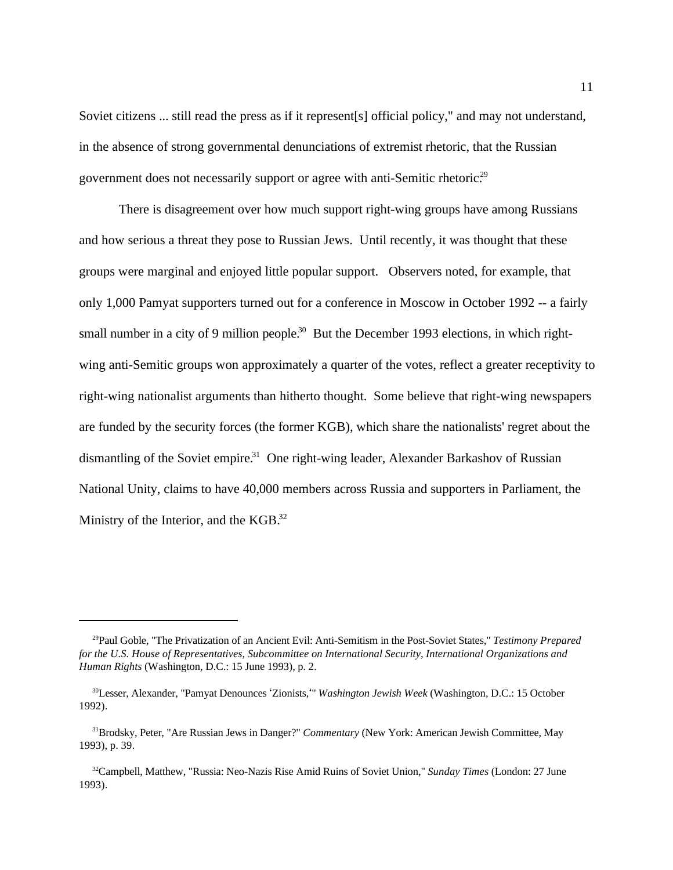Soviet citizens ... still read the press as if it represent[s] official policy," and may not understand, in the absence of strong governmental denunciations of extremist rhetoric, that the Russian government does not necessarily support or agree with anti-Semitic rhetoric.<sup>29</sup>

There is disagreement over how much support right-wing groups have among Russians and how serious a threat they pose to Russian Jews. Until recently, it was thought that these groups were marginal and enjoyed little popular support. Observers noted, for example, that only 1,000 Pamyat supporters turned out for a conference in Moscow in October 1992 -- a fairly small number in a city of 9 million people.<sup>30</sup> But the December 1993 elections, in which rightwing anti-Semitic groups won approximately a quarter of the votes, reflect a greater receptivity to right-wing nationalist arguments than hitherto thought. Some believe that right-wing newspapers are funded by the security forces (the former KGB), which share the nationalists' regret about the dismantling of the Soviet empire.<sup>31</sup> One right-wing leader, Alexander Barkashov of Russian National Unity, claims to have 40,000 members across Russia and supporters in Parliament, the Ministry of the Interior, and the KGB.<sup>32</sup>

<sup>&</sup>lt;sup>29</sup>Paul Goble, "The Privatization of an Ancient Evil: Anti-Semitism in the Post-Soviet States," *Testimony Prepared for the U.S. House of Representatives, Subcommittee on International Security, International Organizations and Human Rights* (Washington, D.C.: 15 June 1993), p. 2.

<sup>&</sup>lt;sup>30</sup>Lesser, Alexander, "Pamyat Denounces 'Zionists, " *Washington Jewish Week* (Washington, D.C.: 15 October 1992).

<sup>&</sup>lt;sup>31</sup>Brodsky, Peter, "Are Russian Jews in Danger?" *Commentary* (New York: American Jewish Committee, May 1993), p. 39.

<sup>&</sup>lt;sup>32</sup>Campbell, Matthew, "Russia: Neo-Nazis Rise Amid Ruins of Soviet Union," *Sunday Times* (London: 27 June 1993).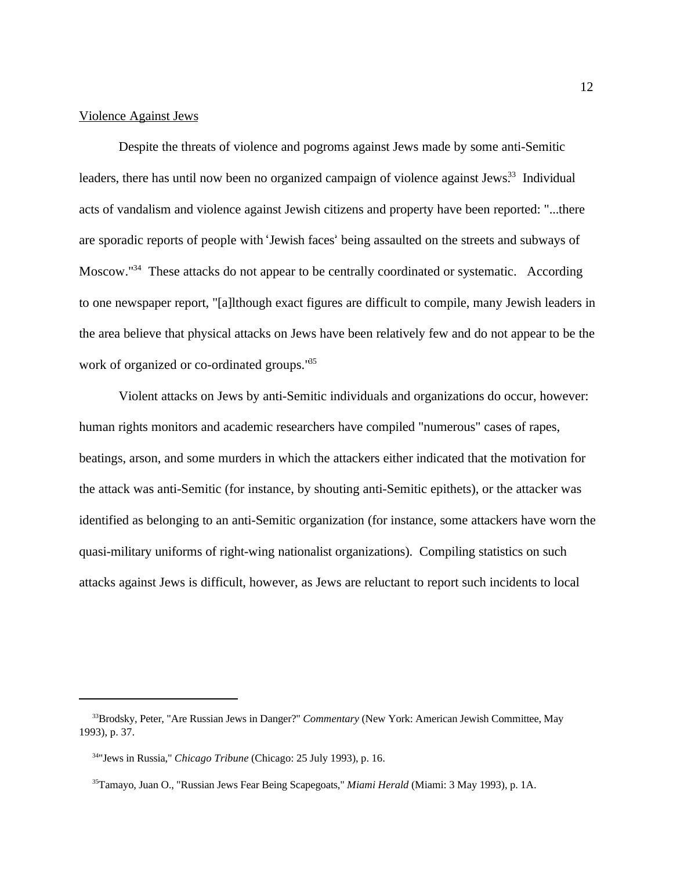#### Violence Against Jews

Despite the threats of violence and pogroms against Jews made by some anti-Semitic leaders, there has until now been no organized campaign of violence against Jews<sup>33</sup> Individual acts of vandalism and violence against Jewish citizens and property have been reported: "...there are sporadic reports of people with 'Jewish faces' being assaulted on the streets and subways of Moscow."<sup>34</sup> These attacks do not appear to be centrally coordinated or systematic. According to one newspaper report, "[a]lthough exact figures are difficult to compile, many Jewish leaders in the area believe that physical attacks on Jews have been relatively few and do not appear to be the work of organized or co-ordinated groups.<sup>135</sup>

Violent attacks on Jews by anti-Semitic individuals and organizations do occur, however: human rights monitors and academic researchers have compiled "numerous" cases of rapes, beatings, arson, and some murders in which the attackers either indicated that the motivation for the attack was anti-Semitic (for instance, by shouting anti-Semitic epithets), or the attacker was identified as belonging to an anti-Semitic organization (for instance, some attackers have worn the quasi-military uniforms of right-wing nationalist organizations). Compiling statistics on such attacks against Jews is difficult, however, as Jews are reluctant to report such incidents to local

<sup>&</sup>lt;sup>33</sup>Brodsky, Peter, "Are Russian Jews in Danger?" *Commentary* (New York: American Jewish Committee, May 1993), p. 37.

<sup>&</sup>lt;sup>34</sup>"Jews in Russia," *Chicago Tribune* (Chicago: 25 July 1993), p. 16.

<sup>&</sup>lt;sup>35</sup>Tamayo, Juan O., "Russian Jews Fear Being Scapegoats," *Miami Herald* (Miami: 3 May 1993), p. 1A.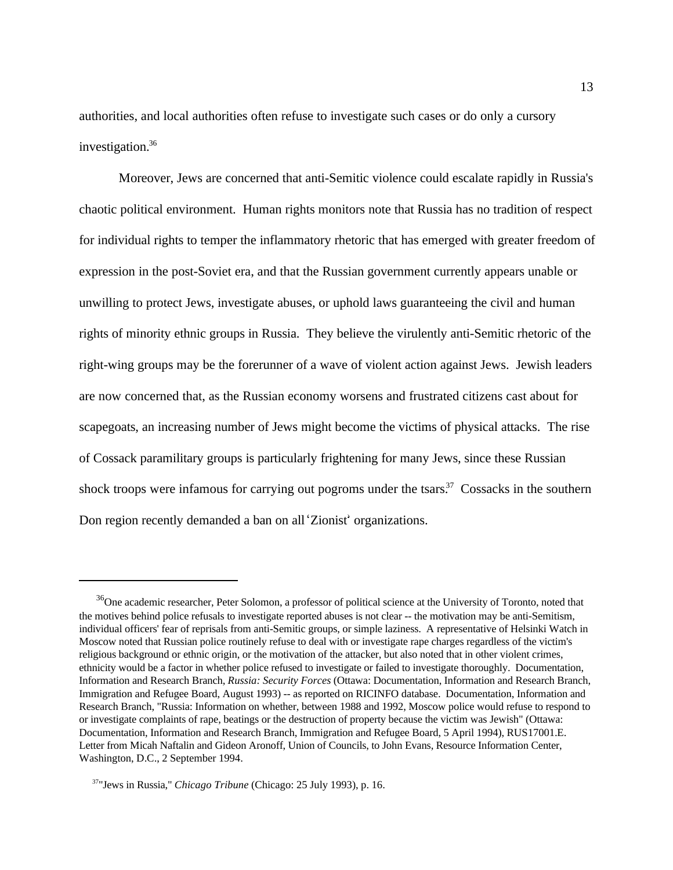authorities, and local authorities often refuse to investigate such cases or do only a cursory investigation. 36

Moreover, Jews are concerned that anti-Semitic violence could escalate rapidly in Russia's chaotic political environment. Human rights monitors note that Russia has no tradition of respect for individual rights to temper the inflammatory rhetoric that has emerged with greater freedom of expression in the post-Soviet era, and that the Russian government currently appears unable or unwilling to protect Jews, investigate abuses, or uphold laws guaranteeing the civil and human rights of minority ethnic groups in Russia. They believe the virulently anti-Semitic rhetoric of the right-wing groups may be the forerunner of a wave of violent action against Jews. Jewish leaders are now concerned that, as the Russian economy worsens and frustrated citizens cast about for scapegoats, an increasing number of Jews might become the victims of physical attacks. The rise of Cossack paramilitary groups is particularly frightening for many Jews, since these Russian shock troops were infamous for carrying out pogroms under the tsars.<sup>37</sup> Cossacks in the southern Don region recently demanded a ban on all 'Zionist' organizations.

<sup>&</sup>lt;sup>36</sup>One academic researcher, Peter Solomon, a professor of political science at the University of Toronto, noted that the motives behind police refusals to investigate reported abuses is not clear -- the motivation may be anti-Semitism, individual officers' fear of reprisals from anti-Semitic groups, or simple laziness. A representative of Helsinki Watch in Moscow noted that Russian police routinely refuse to deal with or investigate rape charges regardless of the victim's religious background or ethnic origin, or the motivation of the attacker, but also noted that in other violent crimes, ethnicity would be a factor in whether police refused to investigate or failed to investigate thoroughly. Documentation, Information and Research Branch, *Russia: Security Forces* (Ottawa: Documentation, Information and Research Branch, Immigration and Refugee Board, August 1993) -- as reported on RICINFO database. Documentation, Information and Research Branch, "Russia: Information on whether, between 1988 and 1992, Moscow police would refuse to respond to or investigate complaints of rape, beatings or the destruction of property because the victim was Jewish" (Ottawa: Documentation, Information and Research Branch, Immigration and Refugee Board, 5 April 1994), RUS17001.E. Letter from Micah Naftalin and Gideon Aronoff, Union of Councils, to John Evans, Resource Information Center, Washington, D.C., 2 September 1994.

<sup>&</sup>lt;sup>37</sup>"Jews in Russia," *Chicago Tribune* (Chicago: 25 July 1993), p. 16.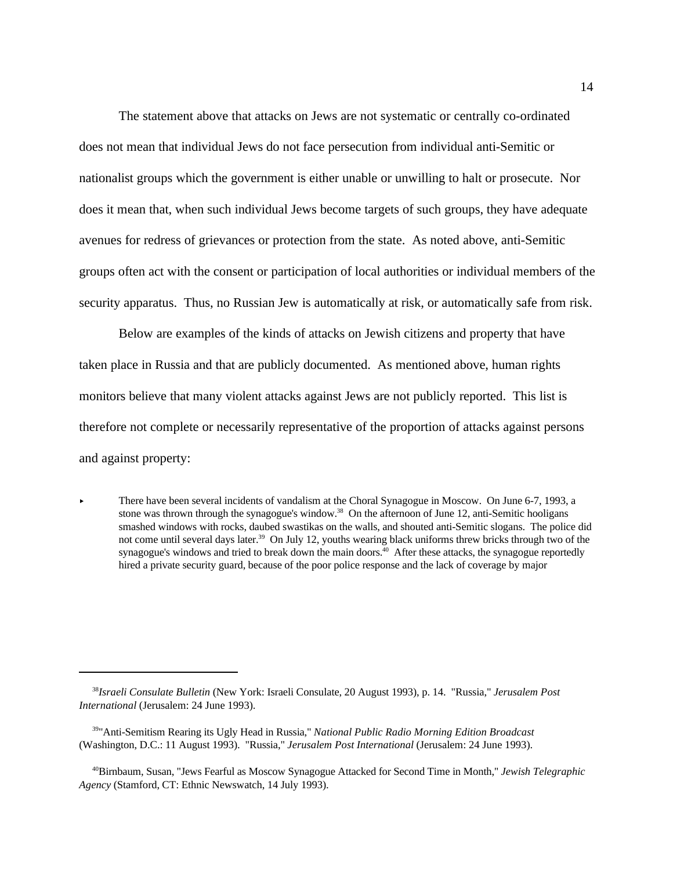The statement above that attacks on Jews are not systematic or centrally co-ordinated does not mean that individual Jews do not face persecution from individual anti-Semitic or nationalist groups which the government is either unable or unwilling to halt or prosecute. Nor does it mean that, when such individual Jews become targets of such groups, they have adequate avenues for redress of grievances or protection from the state. As noted above, anti-Semitic groups often act with the consent or participation of local authorities or individual members of the security apparatus. Thus, no Russian Jew is automatically at risk, or automatically safe from risk.

Below are examples of the kinds of attacks on Jewish citizens and property that have taken place in Russia and that are publicly documented. As mentioned above, human rights monitors believe that many violent attacks against Jews are not publicly reported. This list is therefore not complete or necessarily representative of the proportion of attacks against persons and against property:

There have been several incidents of vandalism at the Choral Synagogue in Moscow. On June 6-7, 1993, a stone was thrown through the synagogue's window.<sup>38</sup> On the afternoon of June 12, anti-Semitic hooligans smashed windows with rocks, daubed swastikas on the walls, and shouted anti-Semitic slogans. The police did not come until several days later.<sup>39</sup> On July 12, youths wearing black uniforms threw bricks through two of the synagogue's windows and tried to break down the main doors.<sup> $40$ </sup> After these attacks, the synagogue reportedly hired a private security guard, because of the poor police response and the lack of coverage by major

*Israeli Consulate Bulletin* (New York: Israeli Consulate, 20 August 1993), p. 14. "Russia," *Jerusalem Post* <sup>38</sup> *International* (Jerusalem: 24 June 1993).

<sup>&</sup>lt;sup>39</sup>"Anti-Semitism Rearing its Ugly Head in Russia," *National Public Radio Morning Edition Broadcast* (Washington, D.C.: 11 August 1993). "Russia," *Jerusalem Post International* (Jerusalem: 24 June 1993).

Birnbaum, Susan, "Jews Fearful as Moscow Synagogue Attacked for Second Time in Month," *Jewish Telegraphic* <sup>40</sup> *Agency* (Stamford, CT: Ethnic Newswatch, 14 July 1993).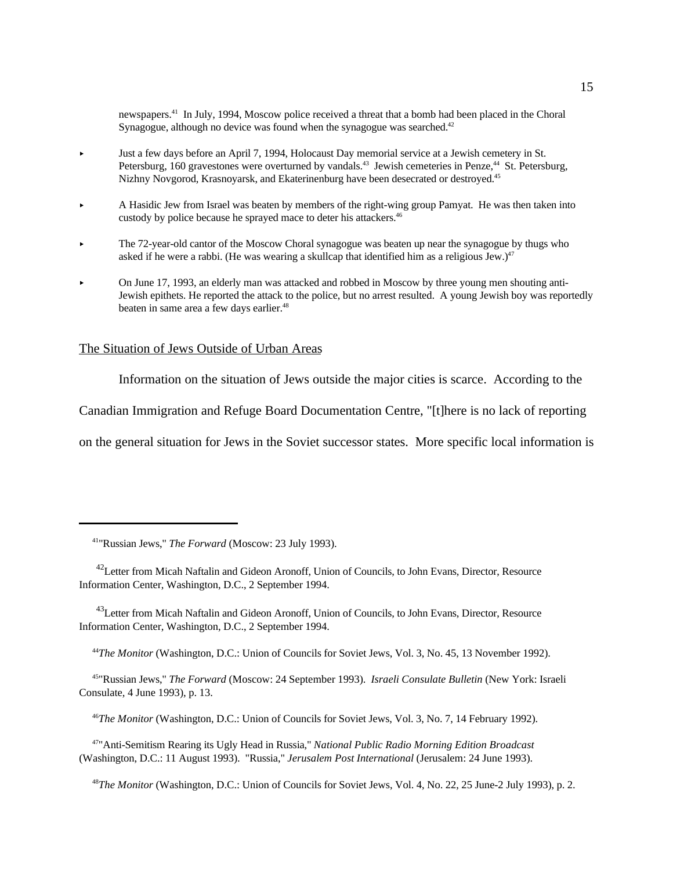newspapers.<sup>41</sup> In July, 1994, Moscow police received a threat that a bomb had been placed in the Choral Synagogue, although no device was found when the synagogue was searched.<sup>42</sup>

- Just a few days before an April 7, 1994, Holocaust Day memorial service at a Jewish cemetery in St. Petersburg, 160 gravestones were overturned by vandals.<sup>43</sup> Jewish cemeteries in Penze,<sup>44</sup> St. Petersburg, Nizhny Novgorod, Krasnoyarsk, and Ekaterinenburg have been desecrated or destroyed.<sup>45</sup>
- A Hasidic Jew from Israel was beaten by members of the right-wing group Pamyat. He was then taken into custody by police because he sprayed mace to deter his attackers.<sup>46</sup>
- The 72-year-old cantor of the Moscow Choral synagogue was beaten up near the synagogue by thugs who asked if he were a rabbi. (He was wearing a skullcap that identified him as a religious Jew.) $47$
- On June 17, 1993, an elderly man was attacked and robbed in Moscow by three young men shouting anti-Jewish epithets. He reported the attack to the police, but no arrest resulted. A young Jewish boy was reportedly beaten in same area a few days earlier.<sup>48</sup>

#### The Situation of Jews Outside of Urban Areas

Information on the situation of Jews outside the major cities is scarce. According to the

Canadian Immigration and Refuge Board Documentation Centre, "[t]here is no lack of reporting

on the general situation for Jews in the Soviet successor states. More specific local information is

<sup>43</sup> Letter from Micah Naftalin and Gideon Aronoff, Union of Councils, to John Evans, Director, Resource Information Center, Washington, D.C., 2 September 1994.

<sup>44</sup>The Monitor (Washington, D.C.: Union of Councils for Soviet Jews, Vol. 3, No. 45, 13 November 1992).

 "Russian Jews," *The Forward* (Moscow: 24 September 1993). *Israeli Consulate Bulletin* (New York: Israeli <sup>45</sup> Consulate, 4 June 1993), p. 13.

<sup>46</sup>The Monitor (Washington, D.C.: Union of Councils for Soviet Jews, Vol. 3, No. 7, 14 February 1992).

 "Anti-Semitism Rearing its Ugly Head in Russia," *National Public Radio Morning Edition Broadcast* <sup>47</sup> (Washington, D.C.: 11 August 1993). "Russia," *Jerusalem Post International* (Jerusalem: 24 June 1993).

<sup>48</sup>The Monitor (Washington, D.C.: Union of Councils for Soviet Jews, Vol. 4, No. 22, 25 June-2 July 1993), p. 2.

<sup>&</sup>lt;sup>41</sup>"Russian Jews," *The Forward* (Moscow: 23 July 1993).

<sup>&</sup>lt;sup>42</sup> Letter from Micah Naftalin and Gideon Aronoff, Union of Councils, to John Evans, Director, Resource Information Center, Washington, D.C., 2 September 1994.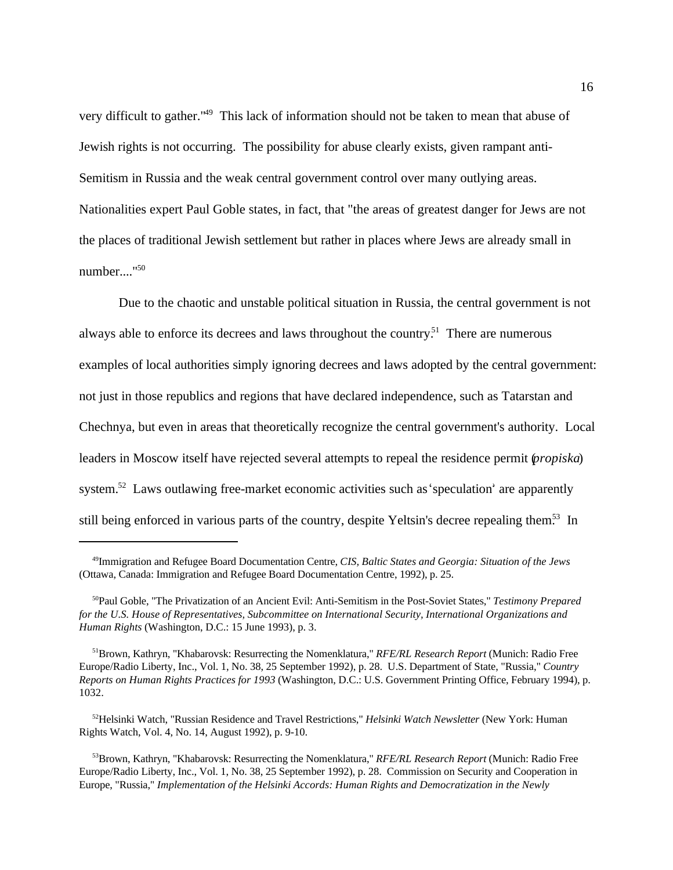very difficult to gather."<sup>49</sup> This lack of information should not be taken to mean that abuse of Jewish rights is not occurring. The possibility for abuse clearly exists, given rampant anti-Semitism in Russia and the weak central government control over many outlying areas. Nationalities expert Paul Goble states, in fact, that "the areas of greatest danger for Jews are not the places of traditional Jewish settlement but rather in places where Jews are already small in number...."<sup>50</sup>

Due to the chaotic and unstable political situation in Russia, the central government is not always able to enforce its decrees and laws throughout the country.<sup>51</sup> There are numerous examples of local authorities simply ignoring decrees and laws adopted by the central government: not just in those republics and regions that have declared independence, such as Tatarstan and Chechnya, but even in areas that theoretically recognize the central government's authority. Local leaders in Moscow itself have rejected several attempts to repeal the residence permit (*propiska*) system.<sup>52</sup> Laws outlawing free-market economic activities such as 'speculation' are apparently still being enforced in various parts of the country, despite Yeltsin's decree repealing them.<sup>53</sup> In

<sup>&</sup>lt;sup>49</sup>Immigration and Refugee Board Documentation Centre, *CIS*, Baltic States and Georgia: Situation of the Jews (Ottawa, Canada: Immigration and Refugee Board Documentation Centre, 1992), p. 25.

<sup>&</sup>lt;sup>50</sup>Paul Goble, "The Privatization of an Ancient Evil: Anti-Semitism in the Post-Soviet States," *Testimony Prepared for the U.S. House of Representatives, Subcommittee on International Security, International Organizations and Human Rights* (Washington, D.C.: 15 June 1993), p. 3.

<sup>&</sup>lt;sup>51</sup> Brown, Kathryn, "Khabarovsk: Resurrecting the Nomenklatura," *RFE/RL Research Report* (Munich: Radio Free Europe/Radio Liberty, Inc., Vol. 1, No. 38, 25 September 1992), p. 28. U.S. Department of State, "Russia," *Country Reports on Human Rights Practices for 1993* (Washington, D.C.: U.S. Government Printing Office, February 1994), p. 1032.

<sup>&</sup>lt;sup>52</sup>Helsinki Watch, "Russian Residence and Travel Restrictions," *Helsinki Watch Newsletter* (New York: Human Rights Watch, Vol. 4, No. 14, August 1992), p. 9-10.

<sup>&</sup>lt;sup>53</sup>Brown, Kathryn, "Khabarovsk: Resurrecting the Nomenklatura," *RFE/RL Research Report* (Munich: Radio Free Europe/Radio Liberty, Inc., Vol. 1, No. 38, 25 September 1992), p. 28. Commission on Security and Cooperation in Europe, "Russia," *Implementation of the Helsinki Accords: Human Rights and Democratization in the Newly*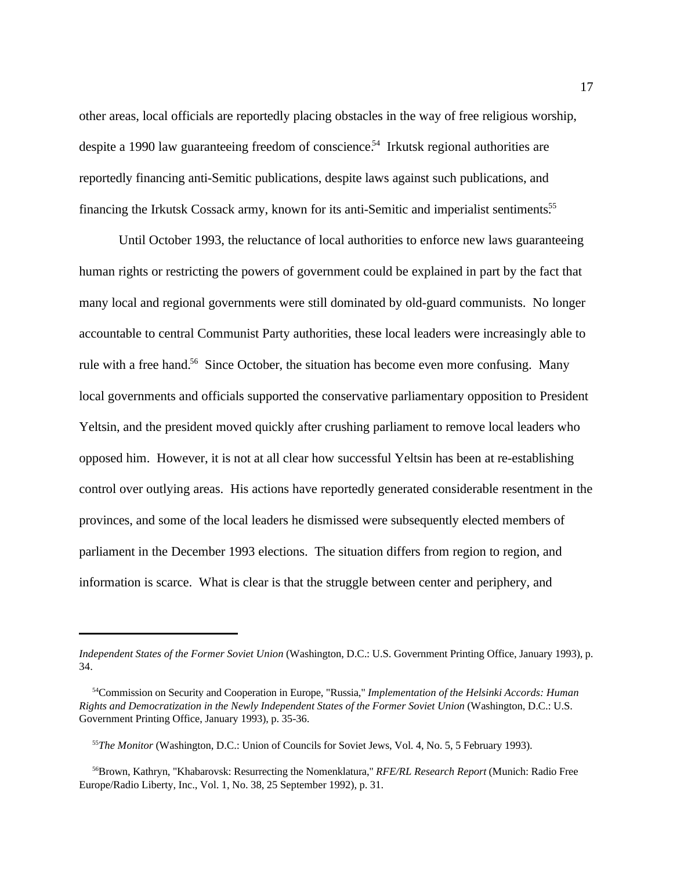other areas, local officials are reportedly placing obstacles in the way of free religious worship, despite a 1990 law guaranteeing freedom of conscience.<sup>54</sup> Irkutsk regional authorities are reportedly financing anti-Semitic publications, despite laws against such publications, and financing the Irkutsk Cossack army, known for its anti-Semitic and imperialist sentiments.<sup>55</sup>

Until October 1993, the reluctance of local authorities to enforce new laws guaranteeing human rights or restricting the powers of government could be explained in part by the fact that many local and regional governments were still dominated by old-guard communists. No longer accountable to central Communist Party authorities, these local leaders were increasingly able to rule with a free hand.<sup>56</sup> Since October, the situation has become even more confusing. Many local governments and officials supported the conservative parliamentary opposition to President Yeltsin, and the president moved quickly after crushing parliament to remove local leaders who opposed him. However, it is not at all clear how successful Yeltsin has been at re-establishing control over outlying areas. His actions have reportedly generated considerable resentment in the provinces, and some of the local leaders he dismissed were subsequently elected members of parliament in the December 1993 elections. The situation differs from region to region, and information is scarce. What is clear is that the struggle between center and periphery, and

*Independent States of the Former Soviet Union* (Washington, D.C.: U.S. Government Printing Office, January 1993), p. 34.

<sup>&</sup>lt;sup>54</sup> Commission on Security and Cooperation in Europe, "Russia," *Implementation of the Helsinki Accords: Human Rights and Democratization in the Newly Independent States of the Former Soviet Union* (Washington, D.C.: U.S. Government Printing Office, January 1993), p. 35-36.

<sup>&</sup>lt;sup>55</sup>The Monitor (Washington, D.C.: Union of Councils for Soviet Jews, Vol. 4, No. 5, 5 February 1993).

Brown, Kathryn, "Khabarovsk: Resurrecting the Nomenklatura," *RFE/RL Research Report* (Munich: Radio Free <sup>56</sup> Europe/Radio Liberty, Inc., Vol. 1, No. 38, 25 September 1992), p. 31.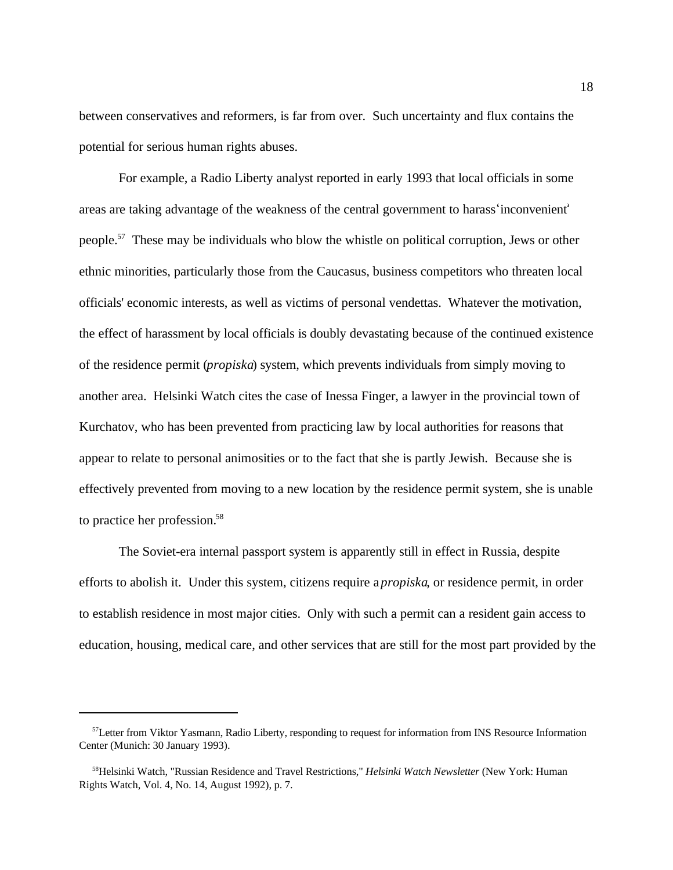between conservatives and reformers, is far from over. Such uncertainty and flux contains the potential for serious human rights abuses.

For example, a Radio Liberty analyst reported in early 1993 that local officials in some areas are taking advantage of the weakness of the central government to harass inconvenient people.<sup>57</sup> These may be individuals who blow the whistle on political corruption, Jews or other ethnic minorities, particularly those from the Caucasus, business competitors who threaten local officials' economic interests, as well as victims of personal vendettas. Whatever the motivation, the effect of harassment by local officials is doubly devastating because of the continued existence of the residence permit (*propiska*) system, which prevents individuals from simply moving to another area. Helsinki Watch cites the case of Inessa Finger, a lawyer in the provincial town of Kurchatov, who has been prevented from practicing law by local authorities for reasons that appear to relate to personal animosities or to the fact that she is partly Jewish. Because she is effectively prevented from moving to a new location by the residence permit system, she is unable to practice her profession.<sup>58</sup>

The Soviet-era internal passport system is apparently still in effect in Russia, despite efforts to abolish it. Under this system, citizens require a *propiska*, or residence permit, in order to establish residence in most major cities. Only with such a permit can a resident gain access to education, housing, medical care, and other services that are still for the most part provided by the

<sup>&</sup>lt;sup>57</sup>Letter from Viktor Yasmann, Radio Liberty, responding to request for information from INS Resource Information Center (Munich: 30 January 1993).

<sup>&</sup>lt;sup>58</sup>Helsinki Watch, "Russian Residence and Travel Restrictions," *Helsinki Watch Newsletter* (New York: Human Rights Watch, Vol. 4, No. 14, August 1992), p. 7.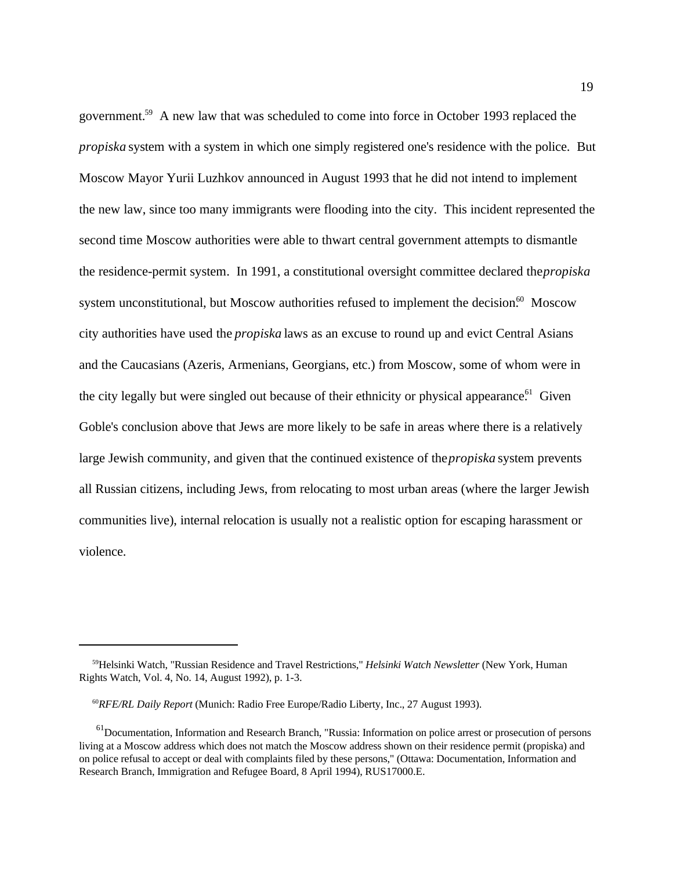government.<sup>59</sup> A new law that was scheduled to come into force in October 1993 replaced the *propiska* system with a system in which one simply registered one's residence with the police. But Moscow Mayor Yurii Luzhkov announced in August 1993 that he did not intend to implement the new law, since too many immigrants were flooding into the city. This incident represented the second time Moscow authorities were able to thwart central government attempts to dismantle the residence-permit system. In 1991, a constitutional oversight committee declared the *propiska* system unconstitutional, but Moscow authorities refused to implement the decision.<sup>60</sup> Moscow city authorities have used the *propiska* laws as an excuse to round up and evict Central Asians and the Caucasians (Azeris, Armenians, Georgians, etc.) from Moscow, some of whom were in the city legally but were singled out because of their ethnicity or physical appearance.<sup>61</sup> Given Goble's conclusion above that Jews are more likely to be safe in areas where there is a relatively large Jewish community, and given that the continued existence of the *propiska* system prevents all Russian citizens, including Jews, from relocating to most urban areas (where the larger Jewish communities live), internal relocation is usually not a realistic option for escaping harassment or violence.

<sup>&</sup>lt;sup>59</sup>Helsinki Watch, "Russian Residence and Travel Restrictions," *Helsinki Watch Newsletter* (New York, Human Rights Watch, Vol. 4, No. 14, August 1992), p. 1-3.

<sup>&</sup>lt;sup>60</sup>RFE/RL Daily Report (Munich: Radio Free Europe/Radio Liberty, Inc., 27 August 1993).

 $<sup>61</sup>$ Documentation, Information and Research Branch, "Russia: Information on police arrest or prosecution of persons</sup> living at a Moscow address which does not match the Moscow address shown on their residence permit (propiska) and on police refusal to accept or deal with complaints filed by these persons," (Ottawa: Documentation, Information and Research Branch, Immigration and Refugee Board, 8 April 1994), RUS17000.E.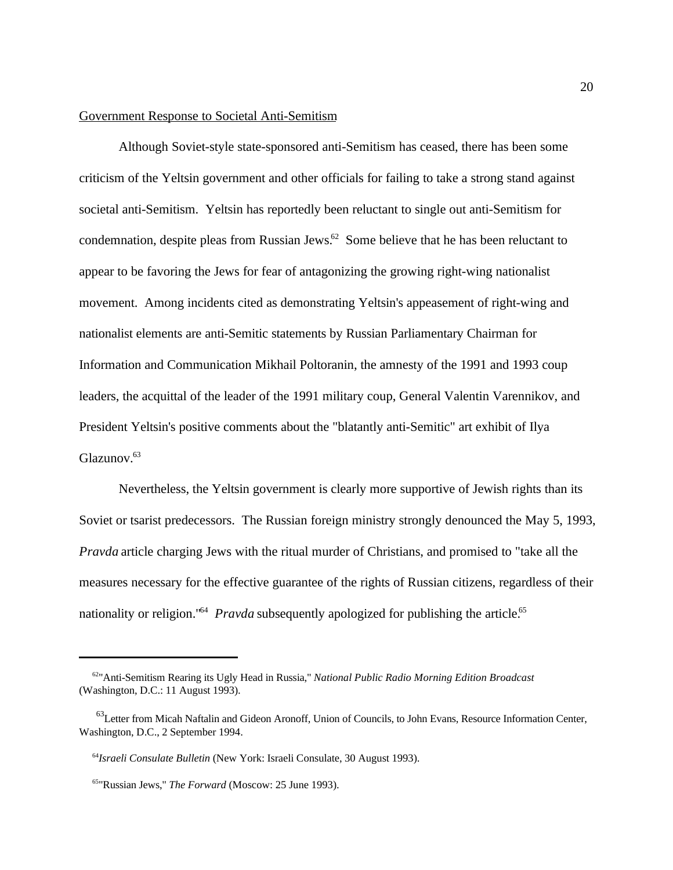#### Government Response to Societal Anti-Semitism

Although Soviet-style state-sponsored anti-Semitism has ceased, there has been some criticism of the Yeltsin government and other officials for failing to take a strong stand against societal anti-Semitism. Yeltsin has reportedly been reluctant to single out anti-Semitism for condemnation, despite pleas from Russian Jews. $62$  Some believe that he has been reluctant to appear to be favoring the Jews for fear of antagonizing the growing right-wing nationalist movement. Among incidents cited as demonstrating Yeltsin's appeasement of right-wing and nationalist elements are anti-Semitic statements by Russian Parliamentary Chairman for Information and Communication Mikhail Poltoranin, the amnesty of the 1991 and 1993 coup leaders, the acquittal of the leader of the 1991 military coup, General Valentin Varennikov, and President Yeltsin's positive comments about the "blatantly anti-Semitic" art exhibit of Ilya Glazunov.<sup>63</sup>

Nevertheless, the Yeltsin government is clearly more supportive of Jewish rights than its Soviet or tsarist predecessors. The Russian foreign ministry strongly denounced the May 5, 1993, *Pravda* article charging Jews with the ritual murder of Christians, and promised to "take all the measures necessary for the effective guarantee of the rights of Russian citizens, regardless of their nationality or religion.<sup>"64</sup> *Pravda* subsequently apologized for publishing the article.<sup>65</sup>

<sup>&</sup>lt;sup>62</sup>" Anti-Semitism Rearing its Ugly Head in Russia," *National Public Radio Morning Edition Broadcast* (Washington, D.C.: 11 August 1993).

 $^{63}$ Letter from Micah Naftalin and Gideon Aronoff, Union of Councils, to John Evans, Resource Information Center, Washington, D.C., 2 September 1994.

<sup>&</sup>lt;sup>64</sup> Israeli Consulate Bulletin (New York: Israeli Consulate, 30 August 1993).

<sup>&</sup>lt;sup>65</sup>"Russian Jews," *The Forward* (Moscow: 25 June 1993).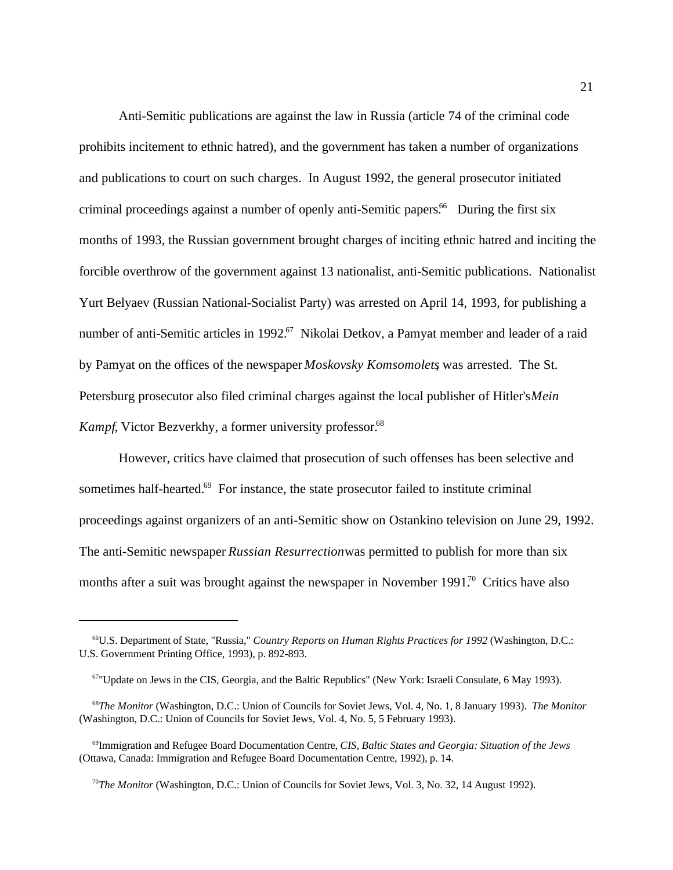Anti-Semitic publications are against the law in Russia (article 74 of the criminal code prohibits incitement to ethnic hatred), and the government has taken a number of organizations and publications to court on such charges. In August 1992, the general prosecutor initiated criminal proceedings against a number of openly anti-Semitic papers.<sup>66</sup> During the first six months of 1993, the Russian government brought charges of inciting ethnic hatred and inciting the forcible overthrow of the government against 13 nationalist, anti-Semitic publications. Nationalist Yurt Belyaev (Russian National-Socialist Party) was arrested on April 14, 1993, for publishing a number of anti-Semitic articles in 1992.<sup>67</sup> Nikolai Detkov, a Pamyat member and leader of a raid by Pamyat on the offices of the newspaper *Moskovsky Komsomolets*, was arrested. The St. Petersburg prosecutor also filed criminal charges against the local publisher of Hitler's *Mein Kampf*, Victor Bezverkhy, a former university professor.<sup>68</sup>

However, critics have claimed that prosecution of such offenses has been selective and sometimes half-hearted. $69$  For instance, the state prosecutor failed to institute criminal proceedings against organizers of an anti-Semitic show on Ostankino television on June 29, 1992. The anti-Semitic newspaper *Russian Resurrection* was permitted to publish for more than six months after a suit was brought against the newspaper in November  $1991<sup>70</sup>$  Critics have also

U.S. Department of State, "Russia," *Country Reports on Human Rights Practices for 1992* (Washington, D.C.: <sup>66</sup> U.S. Government Printing Office, 1993), p. 892-893.

 $67$ "Update on Jews in the CIS, Georgia, and the Baltic Republics" (New York: Israeli Consulate, 6 May 1993).

<sup>&</sup>lt;sup>68</sup>The Monitor (Washington, D.C.: Union of Councils for Soviet Jews, Vol. 4, No. 1, 8 January 1993). *The Monitor* (Washington, D.C.: Union of Councils for Soviet Jews, Vol. 4, No. 5, 5 February 1993).

<sup>&</sup>lt;sup>69</sup>Immigration and Refugee Board Documentation Centre, *CIS, Baltic States and Georgia: Situation of the Jews* (Ottawa, Canada: Immigration and Refugee Board Documentation Centre, 1992), p. 14.

<sup>&</sup>lt;sup>70</sup>The Monitor (Washington, D.C.: Union of Councils for Soviet Jews, Vol. 3, No. 32, 14 August 1992).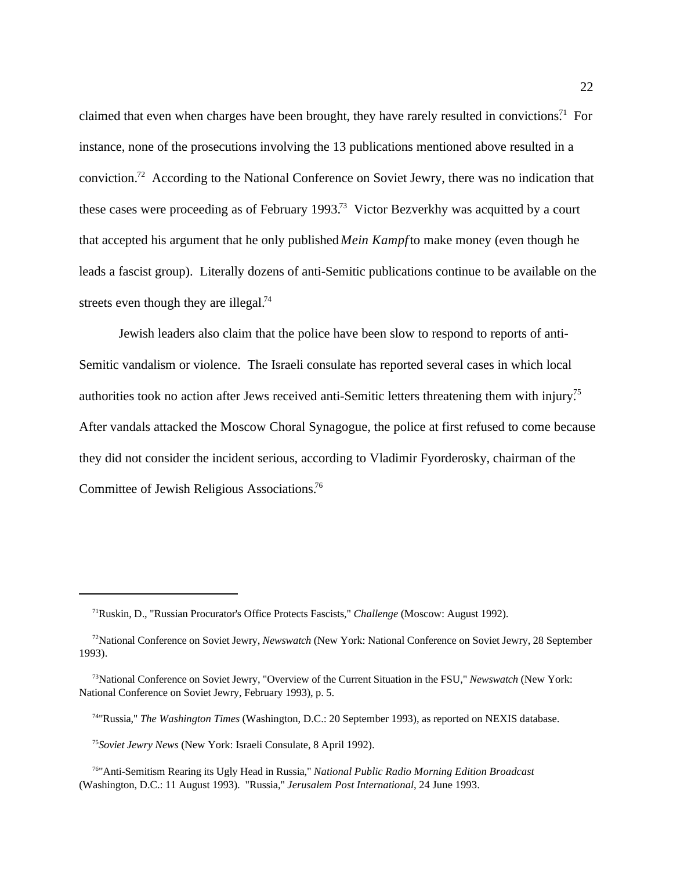claimed that even when charges have been brought, they have rarely resulted in convictions.<sup>71</sup> For instance, none of the prosecutions involving the 13 publications mentioned above resulted in a conviction.<sup>72</sup> According to the National Conference on Soviet Jewry, there was no indication that these cases were proceeding as of February 1993.<sup>73</sup> Victor Bezverkhy was acquitted by a court that accepted his argument that he only published *Mein Kampf* to make money (even though he leads a fascist group). Literally dozens of anti-Semitic publications continue to be available on the streets even though they are illegal.<sup>74</sup>

Jewish leaders also claim that the police have been slow to respond to reports of anti-Semitic vandalism or violence. The Israeli consulate has reported several cases in which local authorities took no action after Jews received anti-Semitic letters threatening them with injury.<sup>75</sup> After vandals attacked the Moscow Choral Synagogue, the police at first refused to come because they did not consider the incident serious, according to Vladimir Fyorderosky, chairman of the Committee of Jewish Religious Associations.76

<sup>&</sup>lt;sup>71</sup>Ruskin, D., "Russian Procurator's Office Protects Fascists," *Challenge* (Moscow: August 1992).

<sup>&</sup>lt;sup>72</sup>National Conference on Soviet Jewry, *Newswatch* (New York: National Conference on Soviet Jewry, 28 September 1993).

<sup>&</sup>lt;sup>73</sup>National Conference on Soviet Jewry, "Overview of the Current Situation in the FSU," *Newswatch* (New York: National Conference on Soviet Jewry, February 1993), p. 5.

<sup>&</sup>lt;sup>74</sup>"Russia," *The Washington Times* (Washington, D.C.: 20 September 1993), as reported on NEXIS database.

<sup>&</sup>lt;sup>75</sup> Soviet Jewry News (New York: Israeli Consulate, 8 April 1992).

 <sup>&</sup>quot;Anti-Semitism Rearing its Ugly Head in Russia," *National Public Radio Morning Edition Broadcast* <sup>76</sup> (Washington, D.C.: 11 August 1993). "Russia," *Jerusalem Post International*, 24 June 1993.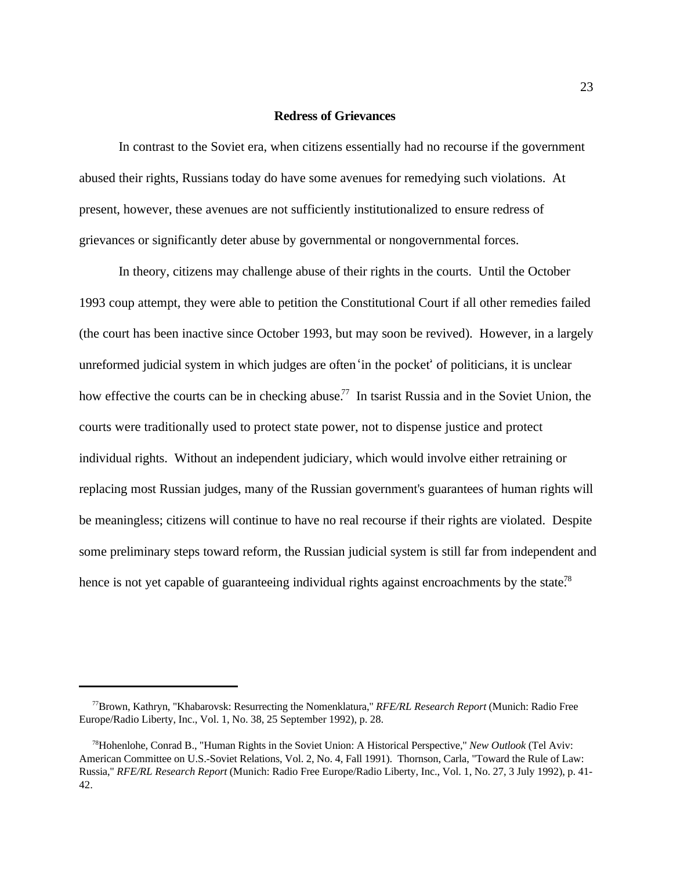#### **Redress of Grievances**

In contrast to the Soviet era, when citizens essentially had no recourse if the government abused their rights, Russians today do have some avenues for remedying such violations. At present, however, these avenues are not sufficiently institutionalized to ensure redress of grievances or significantly deter abuse by governmental or nongovernmental forces.

In theory, citizens may challenge abuse of their rights in the courts. Until the October 1993 coup attempt, they were able to petition the Constitutional Court if all other remedies failed (the court has been inactive since October 1993, but may soon be revived). However, in a largely unreformed judicial system in which judges are often in the pocket of politicians, it is unclear how effective the courts can be in checking abuse.<sup>77</sup> In tsarist Russia and in the Soviet Union, the courts were traditionally used to protect state power, not to dispense justice and protect individual rights. Without an independent judiciary, which would involve either retraining or replacing most Russian judges, many of the Russian government's guarantees of human rights will be meaningless; citizens will continue to have no real recourse if their rights are violated. Despite some preliminary steps toward reform, the Russian judicial system is still far from independent and hence is not yet capable of guaranteeing individual rights against encroachments by the state.<sup>78</sup>

Brown, Kathryn, "Khabarovsk: Resurrecting the Nomenklatura," *RFE/RL Research Report* (Munich: Radio Free <sup>77</sup> Europe/Radio Liberty, Inc., Vol. 1, No. 38, 25 September 1992), p. 28.

<sup>&</sup>lt;sup>78</sup> Hohenlohe, Conrad B., "Human Rights in the Soviet Union: A Historical Perspective," *New Outlook* (Tel Aviv: American Committee on U.S.-Soviet Relations, Vol. 2, No. 4, Fall 1991). Thornson, Carla, "Toward the Rule of Law: Russia," *RFE/RL Research Report* (Munich: Radio Free Europe/Radio Liberty, Inc., Vol. 1, No. 27, 3 July 1992), p. 41- 42.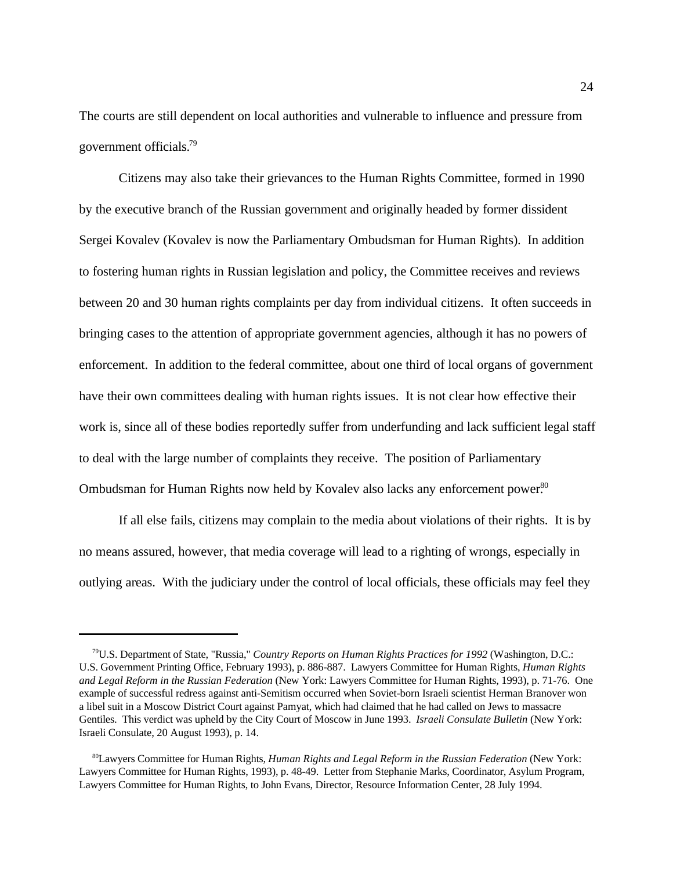The courts are still dependent on local authorities and vulnerable to influence and pressure from government officials.<sup>79</sup>

Citizens may also take their grievances to the Human Rights Committee, formed in 1990 by the executive branch of the Russian government and originally headed by former dissident Sergei Kovalev (Kovalev is now the Parliamentary Ombudsman for Human Rights). In addition to fostering human rights in Russian legislation and policy, the Committee receives and reviews between 20 and 30 human rights complaints per day from individual citizens. It often succeeds in bringing cases to the attention of appropriate government agencies, although it has no powers of enforcement. In addition to the federal committee, about one third of local organs of government have their own committees dealing with human rights issues. It is not clear how effective their work is, since all of these bodies reportedly suffer from underfunding and lack sufficient legal staff to deal with the large number of complaints they receive. The position of Parliamentary Ombudsman for Human Rights now held by Kovalev also lacks any enforcement power.<sup>80</sup>

If all else fails, citizens may complain to the media about violations of their rights. It is by no means assured, however, that media coverage will lead to a righting of wrongs, especially in outlying areas. With the judiciary under the control of local officials, these officials may feel they

<sup>&</sup>lt;sup>79</sup>U.S. Department of State, "Russia," *Country Reports on Human Rights Practices for 1992* (Washington, D.C.: U.S. Government Printing Office, February 1993), p. 886-887. Lawyers Committee for Human Rights, *Human Rights and Legal Reform in the Russian Federation* (New York: Lawyers Committee for Human Rights, 1993), p. 71-76. One example of successful redress against anti-Semitism occurred when Soviet-born Israeli scientist Herman Branover won a libel suit in a Moscow District Court against Pamyat, which had claimed that he had called on Jews to massacre Gentiles. This verdict was upheld by the City Court of Moscow in June 1993. *Israeli Consulate Bulletin* (New York: Israeli Consulate, 20 August 1993), p. 14.

<sup>&</sup>lt;sup>80</sup>Lawyers Committee for Human Rights, *Human Rights and Legal Reform in the Russian Federation* (New York: Lawyers Committee for Human Rights, 1993), p. 48-49. Letter from Stephanie Marks, Coordinator, Asylum Program, Lawyers Committee for Human Rights, to John Evans, Director, Resource Information Center, 28 July 1994.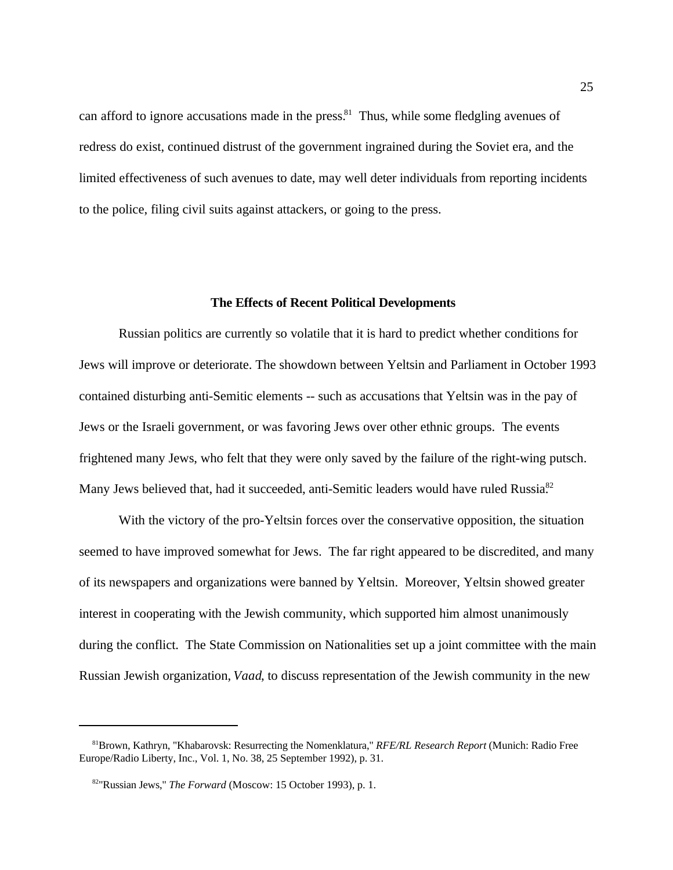can afford to ignore accusations made in the press.<sup>81</sup> Thus, while some fledgling avenues of redress do exist, continued distrust of the government ingrained during the Soviet era, and the limited effectiveness of such avenues to date, may well deter individuals from reporting incidents to the police, filing civil suits against attackers, or going to the press.

#### **The Effects of Recent Political Developments**

Russian politics are currently so volatile that it is hard to predict whether conditions for Jews will improve or deteriorate. The showdown between Yeltsin and Parliament in October 1993 contained disturbing anti-Semitic elements -- such as accusations that Yeltsin was in the pay of Jews or the Israeli government, or was favoring Jews over other ethnic groups. The events frightened many Jews, who felt that they were only saved by the failure of the right-wing putsch. Many Jews believed that, had it succeeded, anti-Semitic leaders would have ruled Russia.<sup>82</sup>

With the victory of the pro-Yeltsin forces over the conservative opposition, the situation seemed to have improved somewhat for Jews. The far right appeared to be discredited, and many of its newspapers and organizations were banned by Yeltsin. Moreover, Yeltsin showed greater interest in cooperating with the Jewish community, which supported him almost unanimously during the conflict. The State Commission on Nationalities set up a joint committee with the main Russian Jewish organization, *Vaad*, to discuss representation of the Jewish community in the new

Brown, Kathryn, "Khabarovsk: Resurrecting the Nomenklatura," *RFE/RL Research Report* (Munich: Radio Free <sup>81</sup> Europe/Radio Liberty, Inc., Vol. 1, No. 38, 25 September 1992), p. 31.

<sup>&</sup>lt;sup>82</sup>"Russian Jews," *The Forward* (Moscow: 15 October 1993), p. 1.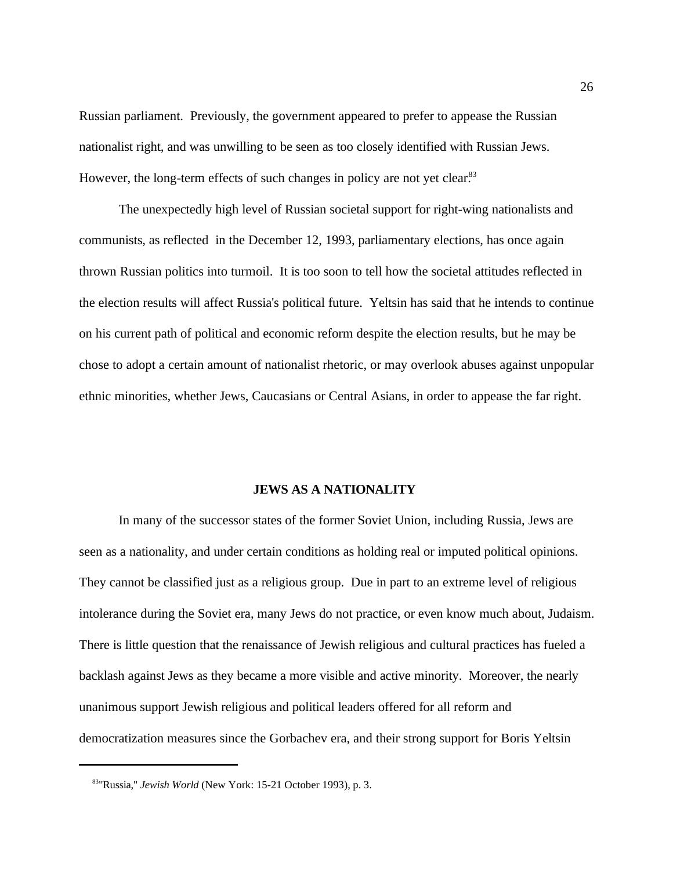Russian parliament. Previously, the government appeared to prefer to appease the Russian nationalist right, and was unwilling to be seen as too closely identified with Russian Jews. However, the long-term effects of such changes in policy are not yet clear.<sup>83</sup>

The unexpectedly high level of Russian societal support for right-wing nationalists and communists, as reflected in the December 12, 1993, parliamentary elections, has once again thrown Russian politics into turmoil. It is too soon to tell how the societal attitudes reflected in the election results will affect Russia's political future. Yeltsin has said that he intends to continue on his current path of political and economic reform despite the election results, but he may be chose to adopt a certain amount of nationalist rhetoric, or may overlook abuses against unpopular ethnic minorities, whether Jews, Caucasians or Central Asians, in order to appease the far right.

### **JEWS AS A NATIONALITY**

In many of the successor states of the former Soviet Union, including Russia, Jews are seen as a nationality, and under certain conditions as holding real or imputed political opinions. They cannot be classified just as a religious group. Due in part to an extreme level of religious intolerance during the Soviet era, many Jews do not practice, or even know much about, Judaism. There is little question that the renaissance of Jewish religious and cultural practices has fueled a backlash against Jews as they became a more visible and active minority. Moreover, the nearly unanimous support Jewish religious and political leaders offered for all reform and democratization measures since the Gorbachev era, and their strong support for Boris Yeltsin

<sup>&</sup>lt;sup>83</sup>"Russia," *Jewish World* (New York: 15-21 October 1993), p. 3.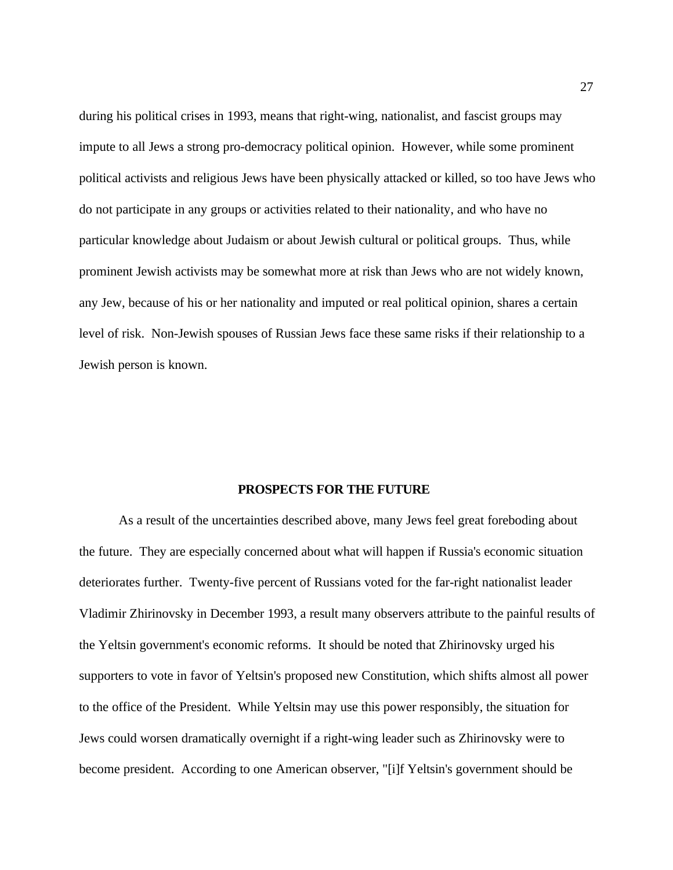during his political crises in 1993, means that right-wing, nationalist, and fascist groups may impute to all Jews a strong pro-democracy political opinion. However, while some prominent political activists and religious Jews have been physically attacked or killed, so too have Jews who do not participate in any groups or activities related to their nationality, and who have no particular knowledge about Judaism or about Jewish cultural or political groups. Thus, while prominent Jewish activists may be somewhat more at risk than Jews who are not widely known, any Jew, because of his or her nationality and imputed or real political opinion, shares a certain level of risk. Non-Jewish spouses of Russian Jews face these same risks if their relationship to a Jewish person is known.

### **PROSPECTS FOR THE FUTURE**

As a result of the uncertainties described above, many Jews feel great foreboding about the future. They are especially concerned about what will happen if Russia's economic situation deteriorates further. Twenty-five percent of Russians voted for the far-right nationalist leader Vladimir Zhirinovsky in December 1993, a result many observers attribute to the painful results of the Yeltsin government's economic reforms. It should be noted that Zhirinovsky urged his supporters to vote in favor of Yeltsin's proposed new Constitution, which shifts almost all power to the office of the President. While Yeltsin may use this power responsibly, the situation for Jews could worsen dramatically overnight if a right-wing leader such as Zhirinovsky were to become president. According to one American observer, "[i]f Yeltsin's government should be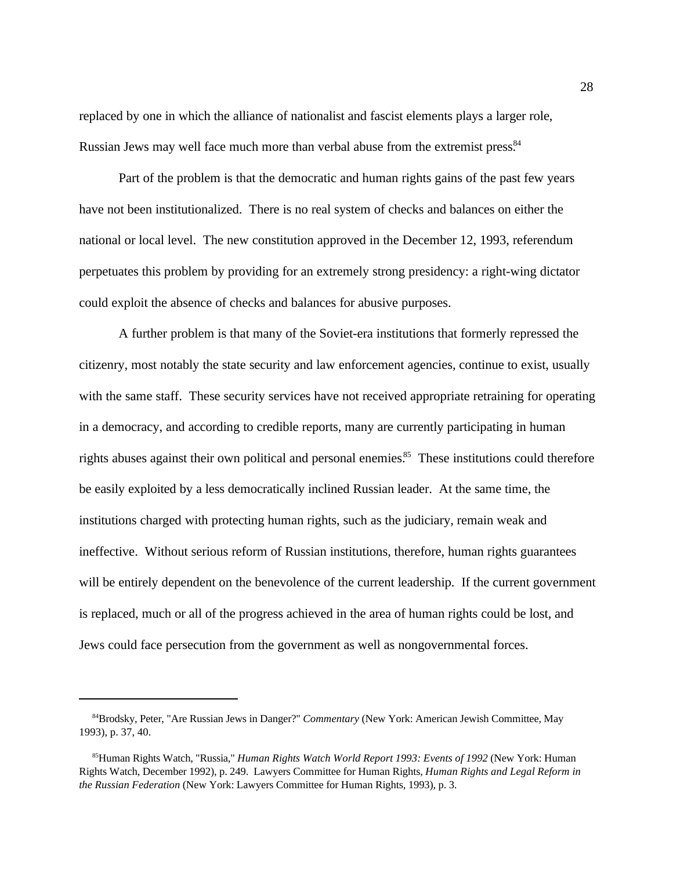replaced by one in which the alliance of nationalist and fascist elements plays a larger role, Russian Jews may well face much more than verbal abuse from the extremist press.<sup>84</sup>

Part of the problem is that the democratic and human rights gains of the past few years have not been institutionalized. There is no real system of checks and balances on either the national or local level. The new constitution approved in the December 12, 1993, referendum perpetuates this problem by providing for an extremely strong presidency: a right-wing dictator could exploit the absence of checks and balances for abusive purposes.

A further problem is that many of the Soviet-era institutions that formerly repressed the citizenry, most notably the state security and law enforcement agencies, continue to exist, usually with the same staff. These security services have not received appropriate retraining for operating in a democracy, and according to credible reports, many are currently participating in human rights abuses against their own political and personal enemies.<sup>85</sup> These institutions could therefore be easily exploited by a less democratically inclined Russian leader. At the same time, the institutions charged with protecting human rights, such as the judiciary, remain weak and ineffective. Without serious reform of Russian institutions, therefore, human rights guarantees will be entirely dependent on the benevolence of the current leadership. If the current government is replaced, much or all of the progress achieved in the area of human rights could be lost, and Jews could face persecution from the government as well as nongovernmental forces.

<sup>&</sup>lt;sup>84</sup> Brodsky, Peter, "Are Russian Jews in Danger?" *Commentary* (New York: American Jewish Committee, May 1993), p. 37, 40.

<sup>&</sup>lt;sup>85</sup>Human Rights Watch, "Russia," *Human Rights Watch World Report 1993: Events of 1992* (New York: Human Rights Watch, December 1992), p. 249. Lawyers Committee for Human Rights, *Human Rights and Legal Reform in the Russian Federation* (New York: Lawyers Committee for Human Rights, 1993), p. 3.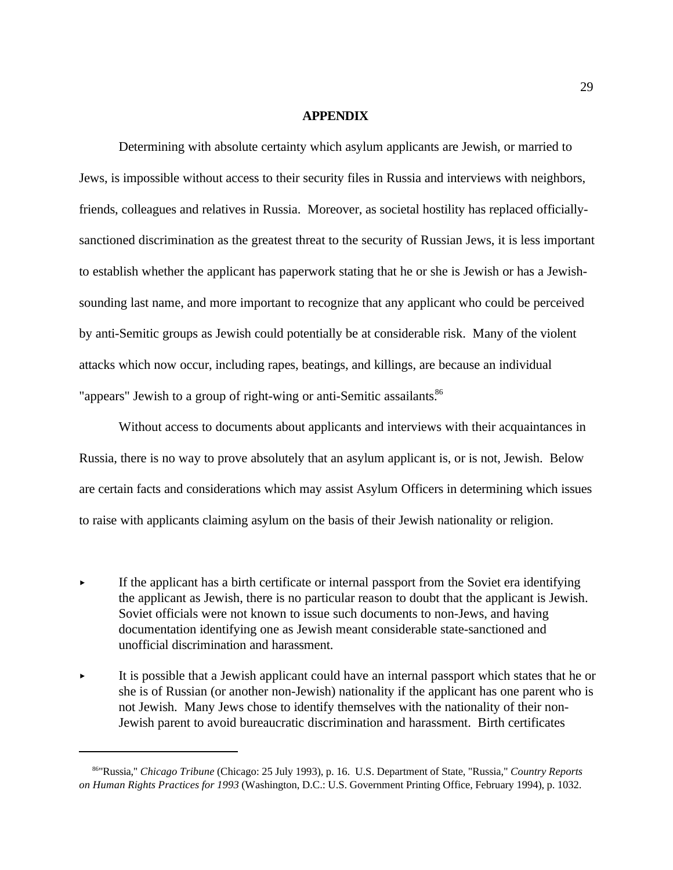#### **APPENDIX**

Determining with absolute certainty which asylum applicants are Jewish, or married to Jews, is impossible without access to their security files in Russia and interviews with neighbors, friends, colleagues and relatives in Russia. Moreover, as societal hostility has replaced officiallysanctioned discrimination as the greatest threat to the security of Russian Jews, it is less important to establish whether the applicant has paperwork stating that he or she is Jewish or has a Jewishsounding last name, and more important to recognize that any applicant who could be perceived by anti-Semitic groups as Jewish could potentially be at considerable risk. Many of the violent attacks which now occur, including rapes, beatings, and killings, are because an individual "appears" Jewish to a group of right-wing or anti-Semitic assailants.<sup>86</sup>

Without access to documents about applicants and interviews with their acquaintances in Russia, there is no way to prove absolutely that an asylum applicant is, or is not, Jewish. Below are certain facts and considerations which may assist Asylum Officers in determining which issues to raise with applicants claiming asylum on the basis of their Jewish nationality or religion.

- If the applicant has a birth certificate or internal passport from the Soviet era identifying the applicant as Jewish, there is no particular reason to doubt that the applicant is Jewish. Soviet officials were not known to issue such documents to non-Jews, and having documentation identifying one as Jewish meant considerable state-sanctioned and unofficial discrimination and harassment.
- It is possible that a Jewish applicant could have an internal passport which states that he or she is of Russian (or another non-Jewish) nationality if the applicant has one parent who is not Jewish. Many Jews chose to identify themselves with the nationality of their non-Jewish parent to avoid bureaucratic discrimination and harassment. Birth certificates

<sup>&</sup>lt;sup>86</sup>"Russia," *Chicago Tribune* (Chicago: 25 July 1993), p. 16. U.S. Department of State, "Russia," *Country Reports on Human Rights Practices for 1993* (Washington, D.C.: U.S. Government Printing Office, February 1994), p. 1032.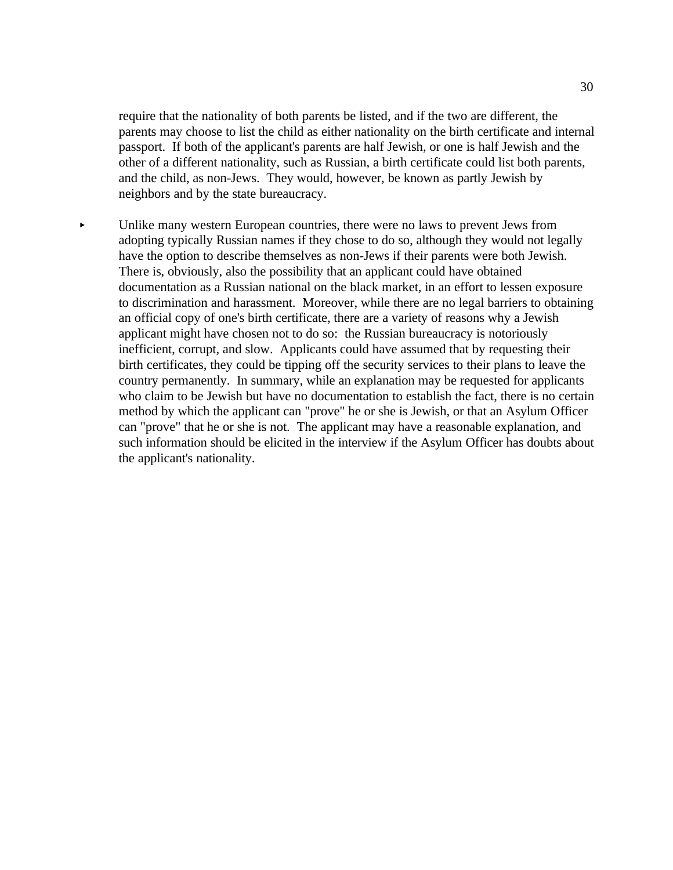require that the nationality of both parents be listed, and if the two are different, the parents may choose to list the child as either nationality on the birth certificate and internal passport. If both of the applicant's parents are half Jewish, or one is half Jewish and the other of a different nationality, such as Russian, a birth certificate could list both parents, and the child, as non-Jews. They would, however, be known as partly Jewish by neighbors and by the state bureaucracy.

Unlike many western European countries, there were no laws to prevent Jews from  $\blacktriangleright$ adopting typically Russian names if they chose to do so, although they would not legally have the option to describe themselves as non-Jews if their parents were both Jewish. There is, obviously, also the possibility that an applicant could have obtained documentation as a Russian national on the black market, in an effort to lessen exposure to discrimination and harassment. Moreover, while there are no legal barriers to obtaining an official copy of one's birth certificate, there are a variety of reasons why a Jewish applicant might have chosen not to do so: the Russian bureaucracy is notoriously inefficient, corrupt, and slow. Applicants could have assumed that by requesting their birth certificates, they could be tipping off the security services to their plans to leave the country permanently. In summary, while an explanation may be requested for applicants who claim to be Jewish but have no documentation to establish the fact, there is no certain method by which the applicant can "prove" he or she is Jewish, or that an Asylum Officer can "prove" that he or she is not. The applicant may have a reasonable explanation, and such information should be elicited in the interview if the Asylum Officer has doubts about the applicant's nationality.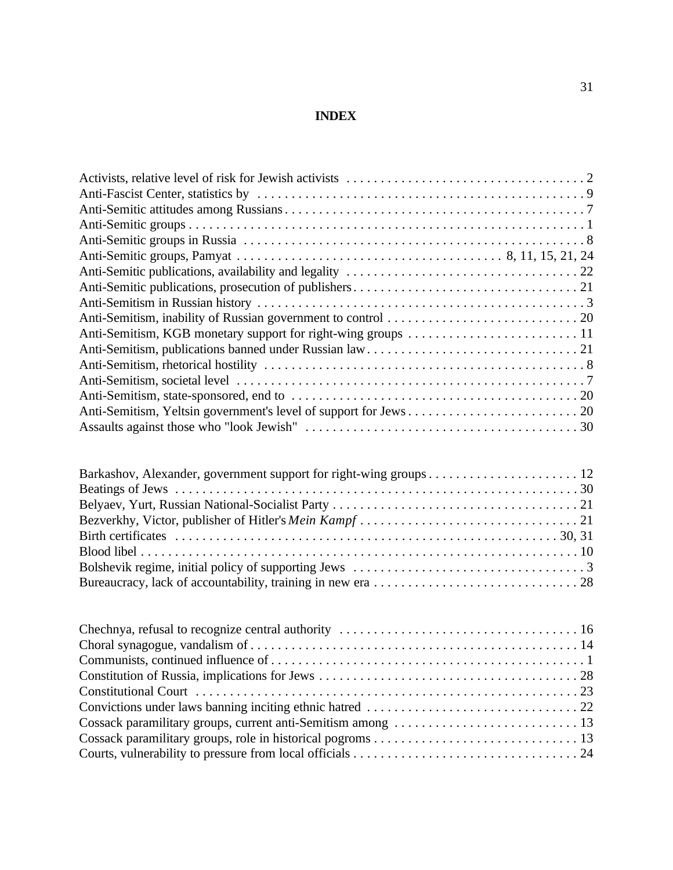## **INDEX**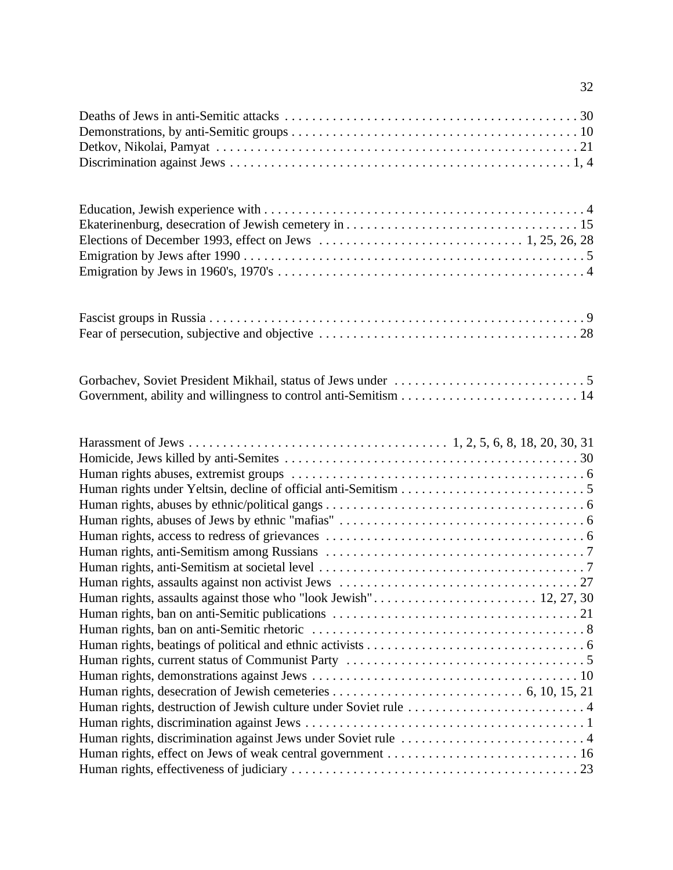| Elections of December 1993, effect on Jews $\dots \dots \dots \dots \dots \dots \dots \dots \dots \dots \dots$ 1, 25, 26, 28 |
|------------------------------------------------------------------------------------------------------------------------------|
|                                                                                                                              |
|                                                                                                                              |
| Human rights, destruction of Jewish culture under Soviet rule 4                                                              |
|                                                                                                                              |

32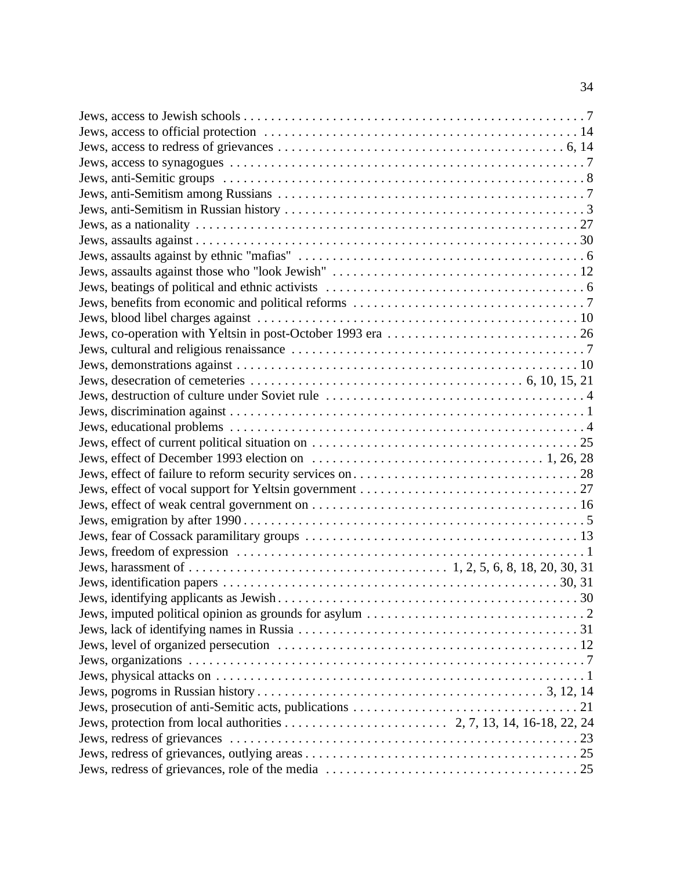| Jews, desecration of cemeteries $\dots \dots \dots \dots \dots \dots \dots \dots \dots \dots \dots \dots$ 6, 10, 15, 21 |             |
|-------------------------------------------------------------------------------------------------------------------------|-------------|
|                                                                                                                         |             |
|                                                                                                                         |             |
|                                                                                                                         |             |
|                                                                                                                         |             |
|                                                                                                                         |             |
|                                                                                                                         |             |
|                                                                                                                         |             |
|                                                                                                                         |             |
|                                                                                                                         |             |
|                                                                                                                         |             |
|                                                                                                                         |             |
|                                                                                                                         |             |
|                                                                                                                         |             |
|                                                                                                                         | $\ldots$ 30 |
|                                                                                                                         |             |
|                                                                                                                         |             |
|                                                                                                                         |             |
|                                                                                                                         |             |
|                                                                                                                         |             |
|                                                                                                                         |             |
| Jews, prosecution of anti-Semitic acts, publications                                                                    | . 21        |
|                                                                                                                         |             |
|                                                                                                                         |             |
|                                                                                                                         |             |
|                                                                                                                         |             |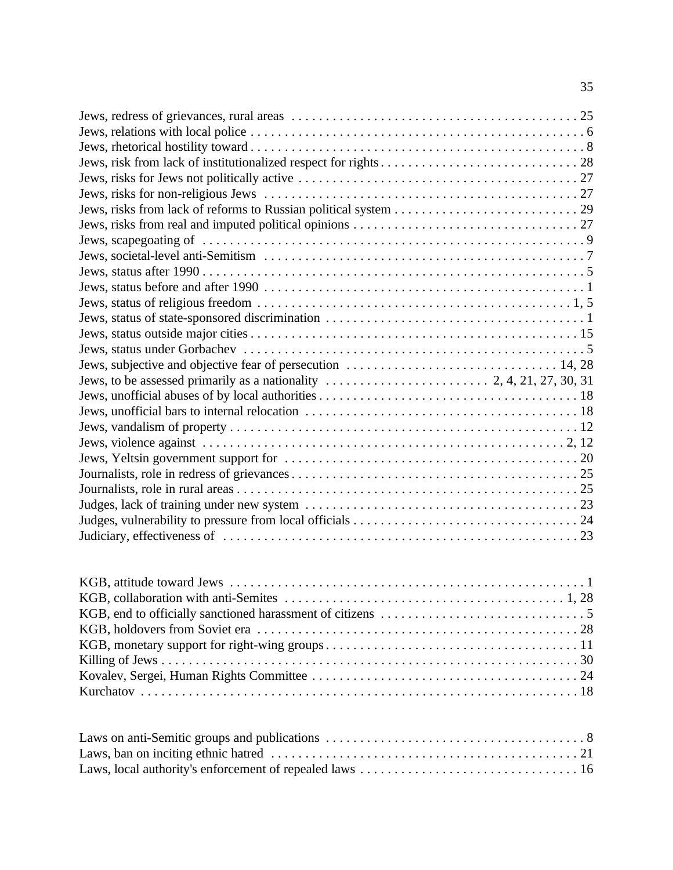| Laws, ban on inciting ethnic hatred |  | 2.1 |
|-------------------------------------|--|-----|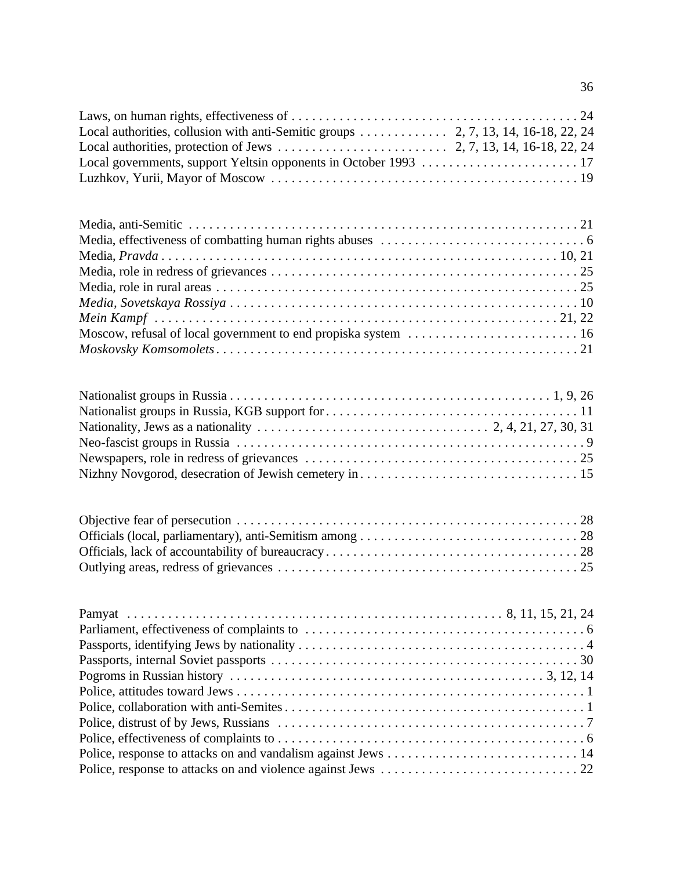| Local authorities, protection of Jews $\dots \dots \dots \dots \dots \dots \dots \dots$ 2, 7, 13, 14, 16-18, 22, 24                    |
|----------------------------------------------------------------------------------------------------------------------------------------|
| Moscow, refusal of local government to end propiska system  16                                                                         |
| Nationality, Jews as a nationality $\ldots \ldots \ldots \ldots \ldots \ldots \ldots \ldots \ldots \ldots \ldots$ 2, 4, 21, 27, 30, 31 |
|                                                                                                                                        |
| Pamyat                                                                                                                                 |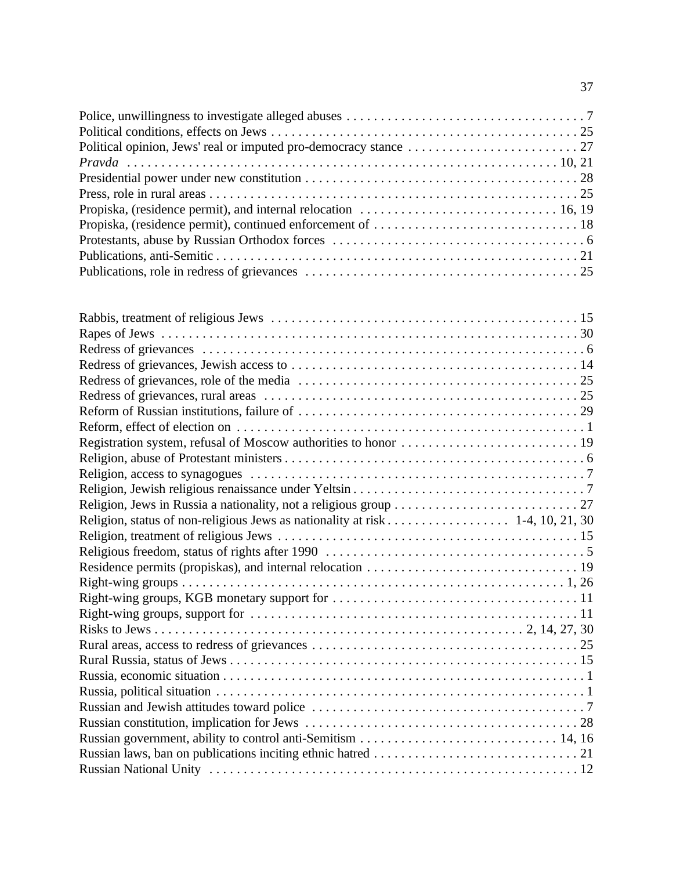| Religion, status of non-religious Jews as nationality at risk 1-4, 10, 21, 30 |
|-------------------------------------------------------------------------------|
|                                                                               |
|                                                                               |
|                                                                               |
|                                                                               |
|                                                                               |
|                                                                               |
|                                                                               |
|                                                                               |
|                                                                               |
|                                                                               |
|                                                                               |
|                                                                               |
|                                                                               |
|                                                                               |
|                                                                               |
|                                                                               |